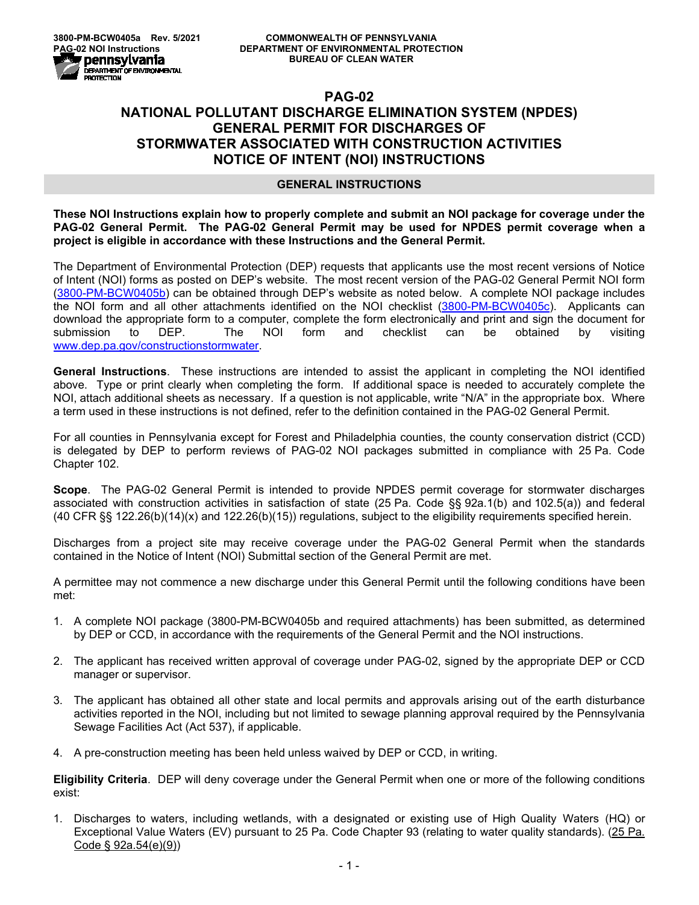## **PAG-02 NATIONAL POLLUTANT DISCHARGE ELIMINATION SYSTEM (NPDES) GENERAL PERMIT FOR DISCHARGES OF STORMWATER ASSOCIATED WITH CONSTRUCTION ACTIVITIES NOTICE OF INTENT (NOI) INSTRUCTIONS**

## **GENERAL INSTRUCTIONS**

**These NOI Instructions explain how to properly complete and submit an NOI package for coverage under the PAG-02 General Permit. The PAG-02 General Permit may be used for NPDES permit coverage when a project is eligible in accordance with these Instructions and the General Permit.**

The Department of Environmental Protection (DEP) requests that applicants use the most recent versions of Notice of Intent (NOI) forms as posted on DEP's website. The most recent version of the PAG-02 General Permit NOI form [\(3800-PM-BCW0405b\)](http://www.depgreenport.state.pa.us/elibrary/GetFolder?FolderID=90982) can be obtained through DEP's website as noted below. A complete NOI package includes the NOI form and all other attachments identified on the NOI checklist [\(3800-PM-BCW0405c\)](http://www.depgreenport.state.pa.us/elibrary/GetFolder?FolderID=90982). Applicants can download the appropriate form to a computer, complete the form electronically and print and sign the document for<br>submission to DEP. The NOI form and checklist can be obtained by visiting submission to DEP. The NOI form and checklist can be obtained by visiting [www.dep.pa.gov/constructionstormwater.](http://www.dep.pa.gov/constructionstormwater)

**General Instructions**. These instructions are intended to assist the applicant in completing the NOI identified above. Type or print clearly when completing the form. If additional space is needed to accurately complete the NOI, attach additional sheets as necessary. If a question is not applicable, write "N/A" in the appropriate box. Where a term used in these instructions is not defined, refer to the definition contained in the PAG-02 General Permit.

For all counties in Pennsylvania except for Forest and Philadelphia counties, the county conservation district (CCD) is delegated by DEP to perform reviews of PAG-02 NOI packages submitted in compliance with 25 Pa. Code Chapter 102.

**Scope**. The PAG-02 General Permit is intended to provide NPDES permit coverage for stormwater discharges associated with construction activities in satisfaction of state (25 Pa. Code §§ 92a.1(b) and 102.5(a)) and federal (40 CFR §§ 122.26(b)(14)(x) and 122.26(b)(15)) regulations, subject to the eligibility requirements specified herein.

Discharges from a project site may receive coverage under the PAG-02 General Permit when the standards contained in the Notice of Intent (NOI) Submittal section of the General Permit are met.

A permittee may not commence a new discharge under this General Permit until the following conditions have been met:

- 1. A complete NOI package (3800-PM-BCW0405b and required attachments) has been submitted, as determined by DEP or CCD, in accordance with the requirements of the General Permit and the NOI instructions.
- 2. The applicant has received written approval of coverage under PAG-02, signed by the appropriate DEP or CCD manager or supervisor.
- 3. The applicant has obtained all other state and local permits and approvals arising out of the earth disturbance activities reported in the NOI, including but not limited to sewage planning approval required by the Pennsylvania Sewage Facilities Act (Act 537), if applicable.
- 4. A pre-construction meeting has been held unless waived by DEP or CCD, in writing.

**Eligibility Criteria**. DEP will deny coverage under the General Permit when one or more of the following conditions exist:

1. Discharges to waters, including wetlands, with a designated or existing use of High Quality Waters (HQ) or Exceptional Value Waters (EV) pursuant to 25 Pa. Code Chapter 93 (relating to water quality standards). (25 Pa. Code § 92a.54(e)(9))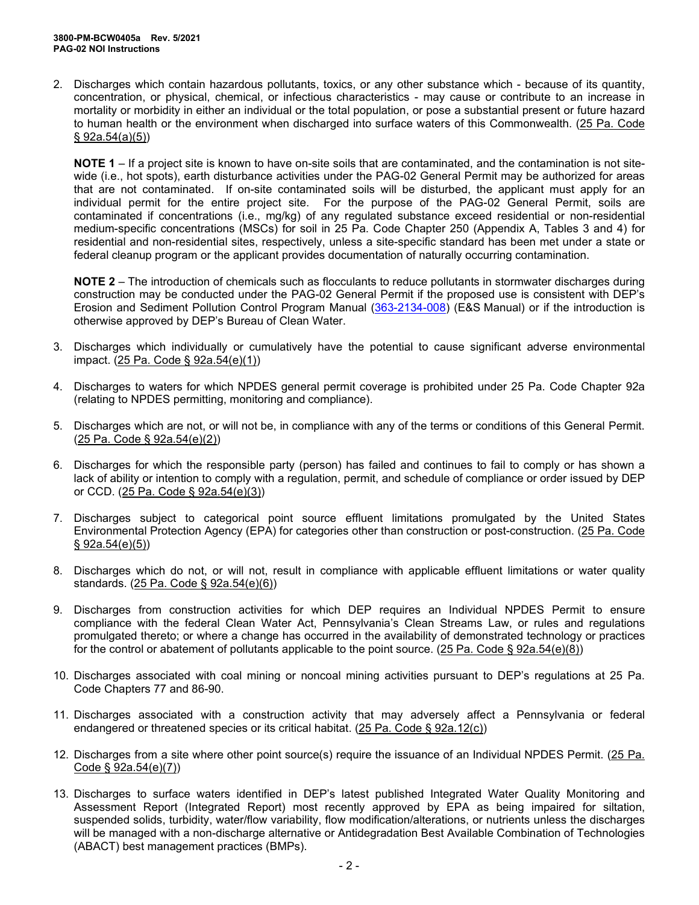2. Discharges which contain hazardous pollutants, toxics, or any other substance which - because of its quantity, concentration, or physical, chemical, or infectious characteristics - may cause or contribute to an increase in mortality or morbidity in either an individual or the total population, or pose a substantial present or future hazard to human health or the environment when discharged into surface waters of this Commonwealth. (25 Pa. Code  $§ 92a.54(a)(5))$ 

**NOTE 1** – If a project site is known to have on-site soils that are contaminated, and the contamination is not sitewide (i.e., hot spots), earth disturbance activities under the PAG-02 General Permit may be authorized for areas that are not contaminated. If on-site contaminated soils will be disturbed, the applicant must apply for an individual permit for the entire project site. For the purpose of the PAG-02 General Permit, soils are contaminated if concentrations (i.e., mg/kg) of any regulated substance exceed residential or non-residential medium-specific concentrations (MSCs) for soil in 25 Pa. Code Chapter 250 (Appendix A, Tables 3 and 4) for residential and non-residential sites, respectively, unless a site-specific standard has been met under a state or federal cleanup program or the applicant provides documentation of naturally occurring contamination.

**NOTE 2** – The introduction of chemicals such as flocculants to reduce pollutants in stormwater discharges during construction may be conducted under the PAG-02 General Permit if the proposed use is consistent with DEP's Erosion and Sediment Pollution Control Program Manual [\(363-2134-008\)](http://www.depgreenport.state.pa.us/elibrary/GetFolder?FolderID=4680) (E&S Manual) or if the introduction is otherwise approved by DEP's Bureau of Clean Water.

- 3. Discharges which individually or cumulatively have the potential to cause significant adverse environmental impact. (25 Pa. Code § 92a.54(e)(1))
- 4. Discharges to waters for which NPDES general permit coverage is prohibited under 25 Pa. Code Chapter 92a (relating to NPDES permitting, monitoring and compliance).
- 5. Discharges which are not, or will not be, in compliance with any of the terms or conditions of this General Permit. (25 Pa. Code § 92a.54(e)(2))
- 6. Discharges for which the responsible party (person) has failed and continues to fail to comply or has shown a lack of ability or intention to comply with a regulation, permit, and schedule of compliance or order issued by DEP or CCD. (25 Pa. Code § 92a.54(e)(3))
- 7. Discharges subject to categorical point source effluent limitations promulgated by the United States Environmental Protection Agency (EPA) for categories other than construction or post-construction. (25 Pa. Code § 92a.54(e)(5))
- 8. Discharges which do not, or will not, result in compliance with applicable effluent limitations or water quality standards. (25 Pa. Code § 92a.54(e)(6))
- 9. Discharges from construction activities for which DEP requires an Individual NPDES Permit to ensure compliance with the federal Clean Water Act, Pennsylvania's Clean Streams Law, or rules and regulations promulgated thereto; or where a change has occurred in the availability of demonstrated technology or practices for the control or abatement of pollutants applicable to the point source. (25 Pa. Code § 92a.54(e)(8))
- 10. Discharges associated with coal mining or noncoal mining activities pursuant to DEP's regulations at 25 Pa. Code Chapters 77 and 86-90.
- 11. Discharges associated with a construction activity that may adversely affect a Pennsylvania or federal endangered or threatened species or its critical habitat. (25 Pa. Code § 92a.12(c))
- 12. Discharges from a site where other point source(s) require the issuance of an Individual NPDES Permit. (25 Pa. Code § 92a.54(e)(7))
- 13. Discharges to surface waters identified in DEP's latest published Integrated Water Quality Monitoring and Assessment Report (Integrated Report) most recently approved by EPA as being impaired for siltation, suspended solids, turbidity, water/flow variability, flow modification/alterations, or nutrients unless the discharges will be managed with a non-discharge alternative or Antidegradation Best Available Combination of Technologies (ABACT) best management practices (BMPs).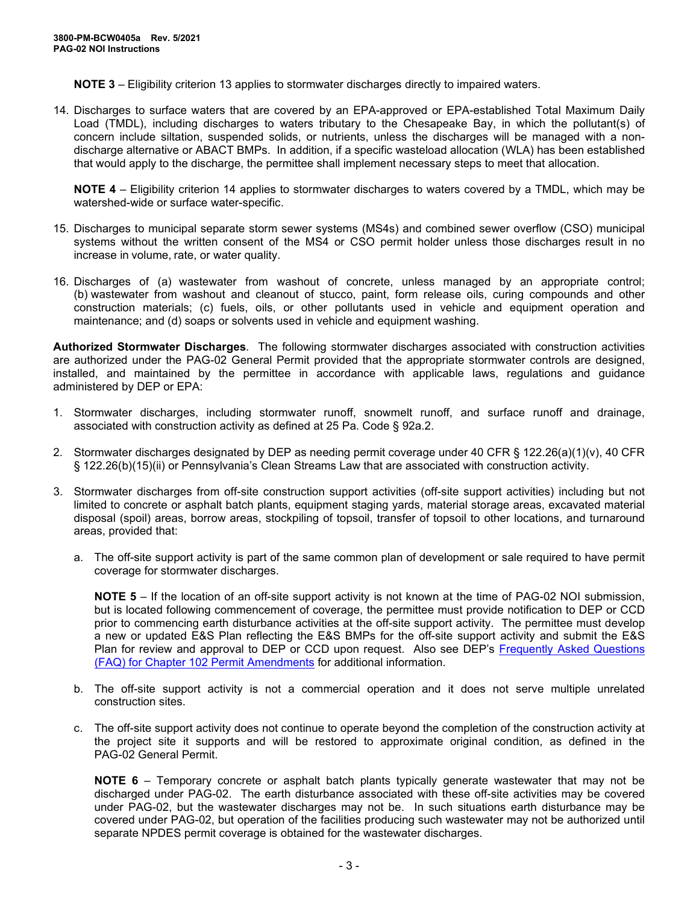**NOTE 3** – Eligibility criterion 13 applies to stormwater discharges directly to impaired waters.

14. Discharges to surface waters that are covered by an EPA-approved or EPA-established Total Maximum Daily Load (TMDL), including discharges to waters tributary to the Chesapeake Bay, in which the pollutant(s) of concern include siltation, suspended solids, or nutrients, unless the discharges will be managed with a nondischarge alternative or ABACT BMPs. In addition, if a specific wasteload allocation (WLA) has been established that would apply to the discharge, the permittee shall implement necessary steps to meet that allocation.

**NOTE 4** – Eligibility criterion 14 applies to stormwater discharges to waters covered by a TMDL, which may be watershed-wide or surface water-specific.

- 15. Discharges to municipal separate storm sewer systems (MS4s) and combined sewer overflow (CSO) municipal systems without the written consent of the MS4 or CSO permit holder unless those discharges result in no increase in volume, rate, or water quality.
- 16. Discharges of (a) wastewater from washout of concrete, unless managed by an appropriate control; (b) wastewater from washout and cleanout of stucco, paint, form release oils, curing compounds and other construction materials; (c) fuels, oils, or other pollutants used in vehicle and equipment operation and maintenance; and (d) soaps or solvents used in vehicle and equipment washing.

**Authorized Stormwater Discharges**. The following stormwater discharges associated with construction activities are authorized under the PAG-02 General Permit provided that the appropriate stormwater controls are designed, installed, and maintained by the permittee in accordance with applicable laws, regulations and guidance administered by DEP or EPA:

- 1. Stormwater discharges, including stormwater runoff, snowmelt runoff, and surface runoff and drainage, associated with construction activity as defined at 25 Pa. Code § 92a.2.
- 2. Stormwater discharges designated by DEP as needing permit coverage under 40 CFR § 122.26(a)(1)(v), 40 CFR § 122.26(b)(15)(ii) or Pennsylvania's Clean Streams Law that are associated with construction activity.
- 3. Stormwater discharges from off-site construction support activities (off-site support activities) including but not limited to concrete or asphalt batch plants, equipment staging yards, material storage areas, excavated material disposal (spoil) areas, borrow areas, stockpiling of topsoil, transfer of topsoil to other locations, and turnaround areas, provided that:
	- a. The off-site support activity is part of the same common plan of development or sale required to have permit coverage for stormwater discharges.

**NOTE 5** – If the location of an off-site support activity is not known at the time of PAG-02 NOI submission, but is located following commencement of coverage, the permittee must provide notification to DEP or CCD prior to commencing earth disturbance activities at the off-site support activity. The permittee must develop a new or updated E&S Plan reflecting the E&S BMPs for the off-site support activity and submit the E&S Plan for review and approval to DEP or CCD upon request. Also see DEP's Frequently [Asked Questions](http://files.dep.state.pa.us/Water/BPNPSM/StormwaterManagement/ConstructionStormwater/Chapter_102_Permit_Amendments_FAQ.pdf)  [\(FAQ\) for Chapter 102 Permit Amendments](http://files.dep.state.pa.us/Water/BPNPSM/StormwaterManagement/ConstructionStormwater/Chapter_102_Permit_Amendments_FAQ.pdf) for additional information.

- b. The off-site support activity is not a commercial operation and it does not serve multiple unrelated construction sites.
- c. The off-site support activity does not continue to operate beyond the completion of the construction activity at the project site it supports and will be restored to approximate original condition, as defined in the PAG-02 General Permit.

**NOTE 6** – Temporary concrete or asphalt batch plants typically generate wastewater that may not be discharged under PAG-02. The earth disturbance associated with these off-site activities may be covered under PAG-02, but the wastewater discharges may not be. In such situations earth disturbance may be covered under PAG-02, but operation of the facilities producing such wastewater may not be authorized until separate NPDES permit coverage is obtained for the wastewater discharges.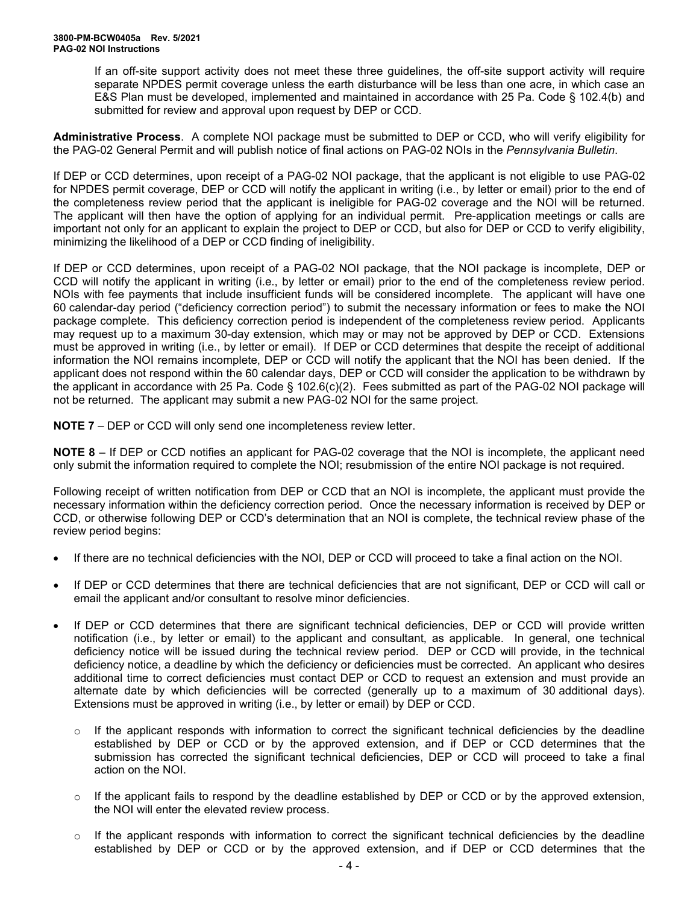If an off-site support activity does not meet these three guidelines, the off-site support activity will require separate NPDES permit coverage unless the earth disturbance will be less than one acre, in which case an E&S Plan must be developed, implemented and maintained in accordance with 25 Pa. Code § 102.4(b) and submitted for review and approval upon request by DEP or CCD.

**Administrative Process**. A complete NOI package must be submitted to DEP or CCD, who will verify eligibility for the PAG-02 General Permit and will publish notice of final actions on PAG-02 NOIs in the *Pennsylvania Bulletin*.

If DEP or CCD determines, upon receipt of a PAG-02 NOI package, that the applicant is not eligible to use PAG-02 for NPDES permit coverage, DEP or CCD will notify the applicant in writing (i.e., by letter or email) prior to the end of the completeness review period that the applicant is ineligible for PAG-02 coverage and the NOI will be returned. The applicant will then have the option of applying for an individual permit. Pre-application meetings or calls are important not only for an applicant to explain the project to DEP or CCD, but also for DEP or CCD to verify eligibility, minimizing the likelihood of a DEP or CCD finding of ineligibility.

If DEP or CCD determines, upon receipt of a PAG-02 NOI package, that the NOI package is incomplete, DEP or CCD will notify the applicant in writing (i.e., by letter or email) prior to the end of the completeness review period. NOIs with fee payments that include insufficient funds will be considered incomplete. The applicant will have one 60 calendar-day period ("deficiency correction period") to submit the necessary information or fees to make the NOI package complete. This deficiency correction period is independent of the completeness review period. Applicants may request up to a maximum 30-day extension, which may or may not be approved by DEP or CCD. Extensions must be approved in writing (i.e., by letter or email). If DEP or CCD determines that despite the receipt of additional information the NOI remains incomplete, DEP or CCD will notify the applicant that the NOI has been denied. If the applicant does not respond within the 60 calendar days, DEP or CCD will consider the application to be withdrawn by the applicant in accordance with 25 Pa. Code § 102.6(c)(2). Fees submitted as part of the PAG-02 NOI package will not be returned. The applicant may submit a new PAG-02 NOI for the same project.

**NOTE 7** – DEP or CCD will only send one incompleteness review letter.

**NOTE 8** – If DEP or CCD notifies an applicant for PAG-02 coverage that the NOI is incomplete, the applicant need only submit the information required to complete the NOI; resubmission of the entire NOI package is not required.

Following receipt of written notification from DEP or CCD that an NOI is incomplete, the applicant must provide the necessary information within the deficiency correction period. Once the necessary information is received by DEP or CCD, or otherwise following DEP or CCD's determination that an NOI is complete, the technical review phase of the review period begins:

- If there are no technical deficiencies with the NOI, DEP or CCD will proceed to take a final action on the NOI.
- If DEP or CCD determines that there are technical deficiencies that are not significant, DEP or CCD will call or email the applicant and/or consultant to resolve minor deficiencies.
- If DEP or CCD determines that there are significant technical deficiencies, DEP or CCD will provide written notification (i.e., by letter or email) to the applicant and consultant, as applicable. In general, one technical deficiency notice will be issued during the technical review period. DEP or CCD will provide, in the technical deficiency notice, a deadline by which the deficiency or deficiencies must be corrected. An applicant who desires additional time to correct deficiencies must contact DEP or CCD to request an extension and must provide an alternate date by which deficiencies will be corrected (generally up to a maximum of 30 additional days). Extensions must be approved in writing (i.e., by letter or email) by DEP or CCD.
	- $\circ$  If the applicant responds with information to correct the significant technical deficiencies by the deadline established by DEP or CCD or by the approved extension, and if DEP or CCD determines that the submission has corrected the significant technical deficiencies. DEP or CCD will proceed to take a final action on the NOI.
	- $\circ$  If the applicant fails to respond by the deadline established by DEP or CCD or by the approved extension, the NOI will enter the elevated review process.
	- $\circ$  If the applicant responds with information to correct the significant technical deficiencies by the deadline established by DEP or CCD or by the approved extension, and if DEP or CCD determines that the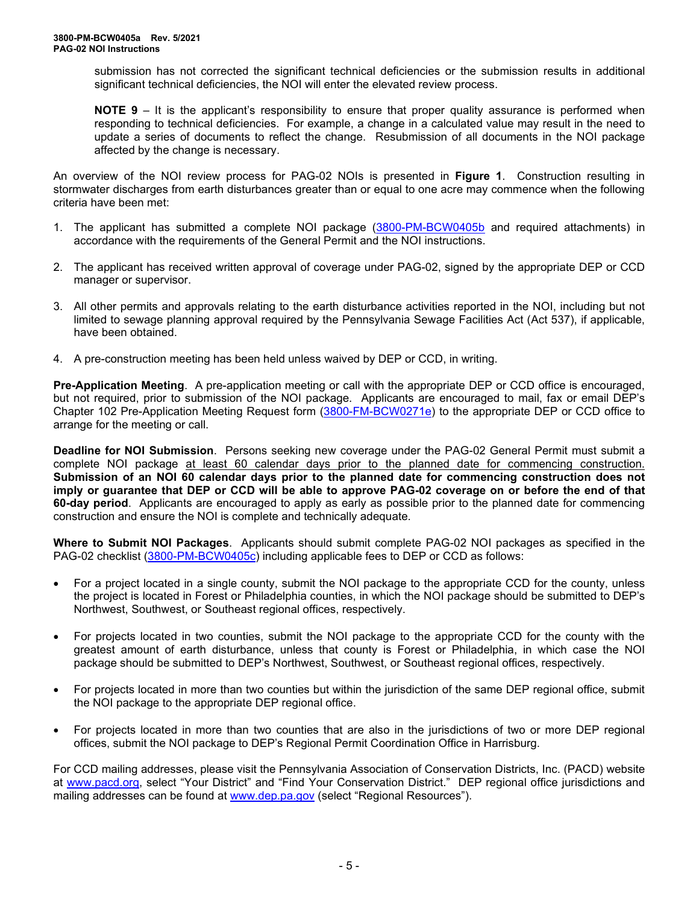submission has not corrected the significant technical deficiencies or the submission results in additional significant technical deficiencies, the NOI will enter the elevated review process.

**NOTE 9** – It is the applicant's responsibility to ensure that proper quality assurance is performed when responding to technical deficiencies. For example, a change in a calculated value may result in the need to update a series of documents to reflect the change. Resubmission of all documents in the NOI package affected by the change is necessary.

An overview of the NOI review process for PAG-02 NOIs is presented in **Figure 1**. Construction resulting in stormwater discharges from earth disturbances greater than or equal to one acre may commence when the following criteria have been met:

- 1. The applicant has submitted a complete NOI package [\(3800-PM-BCW0405b](http://www.depgreenport.state.pa.us/elibrary/GetFolder?FolderID=90982) and required attachments) in accordance with the requirements of the General Permit and the NOI instructions.
- 2. The applicant has received written approval of coverage under PAG-02, signed by the appropriate DEP or CCD manager or supervisor.
- 3. All other permits and approvals relating to the earth disturbance activities reported in the NOI, including but not limited to sewage planning approval required by the Pennsylvania Sewage Facilities Act (Act 537), if applicable, have been obtained.
- 4. A pre-construction meeting has been held unless waived by DEP or CCD, in writing.

**Pre-Application Meeting**. A pre-application meeting or call with the appropriate DEP or CCD office is encouraged, but not required, prior to submission of the NOI package. Applicants are encouraged to mail, fax or email DEP's Chapter 102 Pre-Application Meeting Request form [\(3800-FM-BCW0271e\)](http://www.depgreenport.state.pa.us/elibrary/GetFolder?FolderID=2713) to the appropriate DEP or CCD office to arrange for the meeting or call.

**Deadline for NOI Submission**. Persons seeking new coverage under the PAG-02 General Permit must submit a complete NOI package at least 60 calendar days prior to the planned date for commencing construction. **Submission of an NOI 60 calendar days prior to the planned date for commencing construction does not imply or guarantee that DEP or CCD will be able to approve PAG-02 coverage on or before the end of that 60-day period**. Applicants are encouraged to apply as early as possible prior to the planned date for commencing construction and ensure the NOI is complete and technically adequate.

**Where to Submit NOI Packages**. Applicants should submit complete PAG-02 NOI packages as specified in the PAG-02 checklist [\(3800-PM-BCW0405c\)](http://www.depgreenport.state.pa.us/elibrary/GetFolder?FolderID=90982) including applicable fees to DEP or CCD as follows:

- For a project located in a single county, submit the NOI package to the appropriate CCD for the county, unless the project is located in Forest or Philadelphia counties, in which the NOI package should be submitted to DEP's Northwest, Southwest, or Southeast regional offices, respectively.
- For projects located in two counties, submit the NOI package to the appropriate CCD for the county with the greatest amount of earth disturbance, unless that county is Forest or Philadelphia, in which case the NOI package should be submitted to DEP's Northwest, Southwest, or Southeast regional offices, respectively.
- For projects located in more than two counties but within the jurisdiction of the same DEP regional office, submit the NOI package to the appropriate DEP regional office.
- For projects located in more than two counties that are also in the jurisdictions of two or more DEP regional offices, submit the NOI package to DEP's Regional Permit Coordination Office in Harrisburg.

For CCD mailing addresses, please visit the Pennsylvania Association of Conservation Districts, Inc. (PACD) website at [www.pacd.org,](http://www.pacd.org/) select "Your District" and "Find Your Conservation District." DEP regional office jurisdictions and mailing addresses can be found at [www.dep.pa.gov](http://www.dep.pa.gov/) (select "Regional Resources").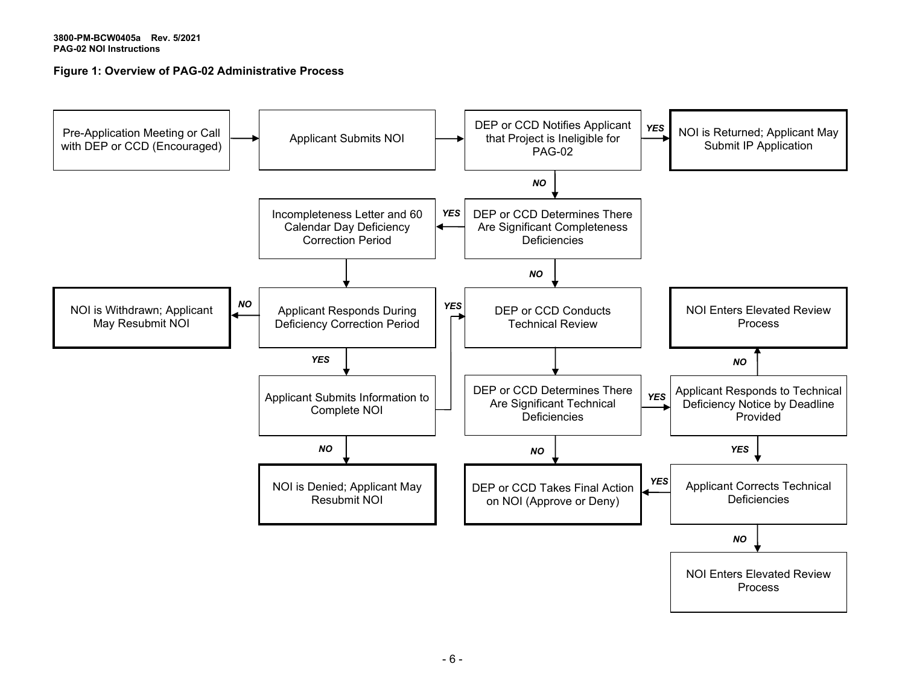## **Figure 1: Overview of PAG-02 Administrative Process**

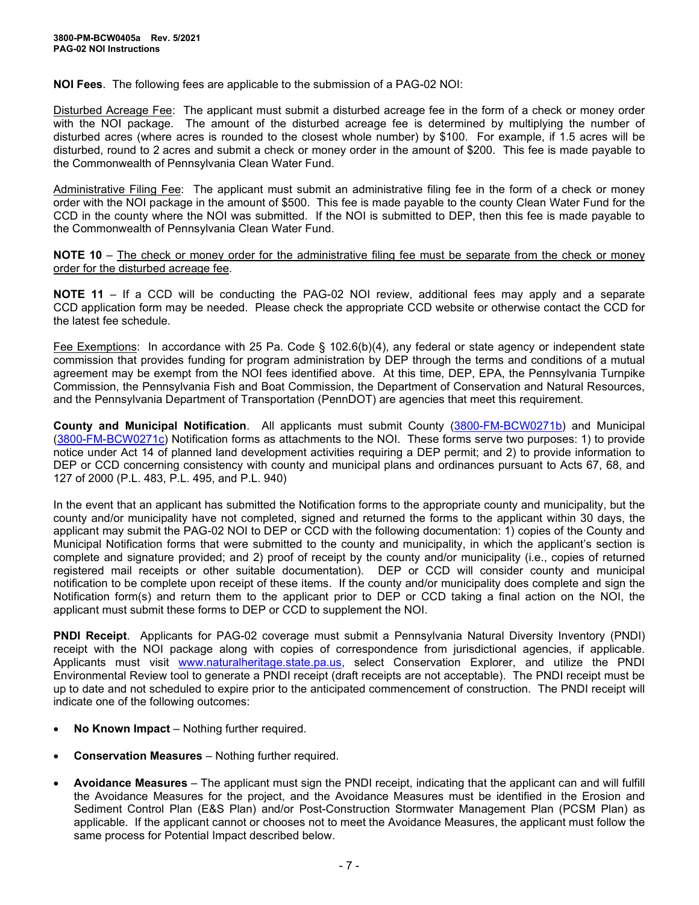**NOI Fees**. The following fees are applicable to the submission of a PAG-02 NOI:

Disturbed Acreage Fee: The applicant must submit a disturbed acreage fee in the form of a check or money order with the NOI package. The amount of the disturbed acreage fee is determined by multiplying the number of disturbed acres (where acres is rounded to the closest whole number) by \$100. For example, if 1.5 acres will be disturbed, round to 2 acres and submit a check or money order in the amount of \$200. This fee is made payable to the Commonwealth of Pennsylvania Clean Water Fund.

Administrative Filing Fee: The applicant must submit an administrative filing fee in the form of a check or money order with the NOI package in the amount of \$500. This fee is made payable to the county Clean Water Fund for the CCD in the county where the NOI was submitted. If the NOI is submitted to DEP, then this fee is made payable to the Commonwealth of Pennsylvania Clean Water Fund.

**NOTE 10** – The check or money order for the administrative filing fee must be separate from the check or money order for the disturbed acreage fee.

**NOTE 11** – If a CCD will be conducting the PAG-02 NOI review, additional fees may apply and a separate CCD application form may be needed. Please check the appropriate CCD website or otherwise contact the CCD for the latest fee schedule.

Fee Exemptions: In accordance with 25 Pa. Code § 102.6(b)(4), any federal or state agency or independent state commission that provides funding for program administration by DEP through the terms and conditions of a mutual agreement may be exempt from the NOI fees identified above. At this time, DEP, EPA, the Pennsylvania Turnpike Commission, the Pennsylvania Fish and Boat Commission, the Department of Conservation and Natural Resources, and the Pennsylvania Department of Transportation (PennDOT) are agencies that meet this requirement.

**County and Municipal Notification**. All applicants must submit County [\(3800-FM-BCW0271b\)](http://www.depgreenport.state.pa.us/elibrary/GetFolder?FolderID=2713) and Municipal [\(3800-FM-BCW0271c\)](http://www.depgreenport.state.pa.us/elibrary/GetFolder?FolderID=2713) Notification forms as attachments to the NOI. These forms serve two purposes: 1) to provide notice under Act 14 of planned land development activities requiring a DEP permit; and 2) to provide information to DEP or CCD concerning consistency with county and municipal plans and ordinances pursuant to Acts 67, 68, and 127 of 2000 (P.L. 483, P.L. 495, and P.L. 940)

In the event that an applicant has submitted the Notification forms to the appropriate county and municipality, but the county and/or municipality have not completed, signed and returned the forms to the applicant within 30 days, the applicant may submit the PAG-02 NOI to DEP or CCD with the following documentation: 1) copies of the County and Municipal Notification forms that were submitted to the county and municipality, in which the applicant's section is complete and signature provided; and 2) proof of receipt by the county and/or municipality (i.e., copies of returned registered mail receipts or other suitable documentation). DEP or CCD will consider county and municipal notification to be complete upon receipt of these items. If the county and/or municipality does complete and sign the Notification form(s) and return them to the applicant prior to DEP or CCD taking a final action on the NOI, the applicant must submit these forms to DEP or CCD to supplement the NOI.

**PNDI Receipt**. Applicants for PAG-02 coverage must submit a Pennsylvania Natural Diversity Inventory (PNDI) receipt with the NOI package along with copies of correspondence from jurisdictional agencies, if applicable. Applicants must visit [www.naturalheritage.state.pa.us,](http://www.naturalheritage.state.pa.us/) select Conservation Explorer, and utilize the PNDI Environmental Review tool to generate a PNDI receipt (draft receipts are not acceptable). The PNDI receipt must be up to date and not scheduled to expire prior to the anticipated commencement of construction. The PNDI receipt will indicate one of the following outcomes:

- **No Known Impact** Nothing further required.
- **Conservation Measures** Nothing further required.
- **Avoidance Measures** The applicant must sign the PNDI receipt, indicating that the applicant can and will fulfill the Avoidance Measures for the project, and the Avoidance Measures must be identified in the Erosion and Sediment Control Plan (E&S Plan) and/or Post-Construction Stormwater Management Plan (PCSM Plan) as applicable. If the applicant cannot or chooses not to meet the Avoidance Measures, the applicant must follow the same process for Potential Impact described below.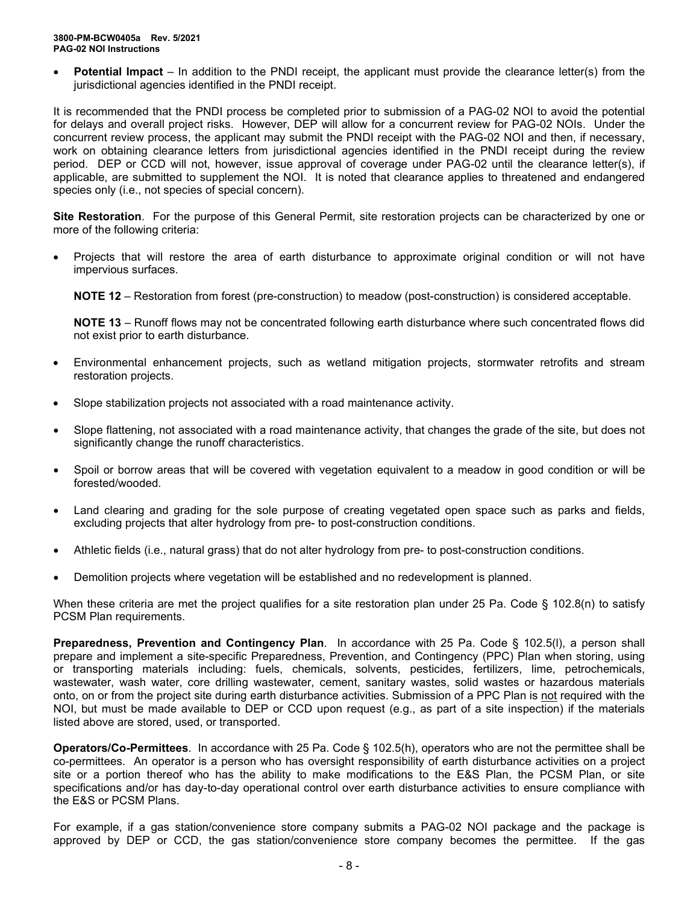**Potential Impact** – In addition to the PNDI receipt, the applicant must provide the clearance letter(s) from the jurisdictional agencies identified in the PNDI receipt.

It is recommended that the PNDI process be completed prior to submission of a PAG-02 NOI to avoid the potential for delays and overall project risks. However, DEP will allow for a concurrent review for PAG-02 NOIs. Under the concurrent review process, the applicant may submit the PNDI receipt with the PAG-02 NOI and then, if necessary, work on obtaining clearance letters from jurisdictional agencies identified in the PNDI receipt during the review period. DEP or CCD will not, however, issue approval of coverage under PAG-02 until the clearance letter(s), if applicable, are submitted to supplement the NOI. It is noted that clearance applies to threatened and endangered species only (i.e., not species of special concern).

**Site Restoration**. For the purpose of this General Permit, site restoration projects can be characterized by one or more of the following criteria:

• Projects that will restore the area of earth disturbance to approximate original condition or will not have impervious surfaces.

**NOTE 12** – Restoration from forest (pre-construction) to meadow (post-construction) is considered acceptable.

**NOTE 13** – Runoff flows may not be concentrated following earth disturbance where such concentrated flows did not exist prior to earth disturbance.

- Environmental enhancement projects, such as wetland mitigation projects, stormwater retrofits and stream restoration projects.
- Slope stabilization projects not associated with a road maintenance activity.
- Slope flattening, not associated with a road maintenance activity, that changes the grade of the site, but does not significantly change the runoff characteristics.
- Spoil or borrow areas that will be covered with vegetation equivalent to a meadow in good condition or will be forested/wooded.
- Land clearing and grading for the sole purpose of creating vegetated open space such as parks and fields, excluding projects that alter hydrology from pre- to post-construction conditions.
- Athletic fields (i.e., natural grass) that do not alter hydrology from pre- to post-construction conditions.
- Demolition projects where vegetation will be established and no redevelopment is planned.

When these criteria are met the project qualifies for a site restoration plan under 25 Pa. Code § 102.8(n) to satisfy PCSM Plan requirements.

**Preparedness, Prevention and Contingency Plan**. In accordance with 25 Pa. Code § 102.5(l), a person shall prepare and implement a site-specific Preparedness, Prevention, and Contingency (PPC) Plan when storing, using or transporting materials including: fuels, chemicals, solvents, pesticides, fertilizers, lime, petrochemicals, wastewater, wash water, core drilling wastewater, cement, sanitary wastes, solid wastes or hazardous materials onto, on or from the project site during earth disturbance activities. Submission of a PPC Plan is not required with the NOI, but must be made available to DEP or CCD upon request (e.g., as part of a site inspection) if the materials listed above are stored, used, or transported.

**Operators/Co-Permittees**. In accordance with 25 Pa. Code § 102.5(h), operators who are not the permittee shall be co-permittees. An operator is a person who has oversight responsibility of earth disturbance activities on a project site or a portion thereof who has the ability to make modifications to the E&S Plan, the PCSM Plan, or site specifications and/or has day-to-day operational control over earth disturbance activities to ensure compliance with the E&S or PCSM Plans.

For example, if a gas station/convenience store company submits a PAG-02 NOI package and the package is approved by DEP or CCD, the gas station/convenience store company becomes the permittee. If the gas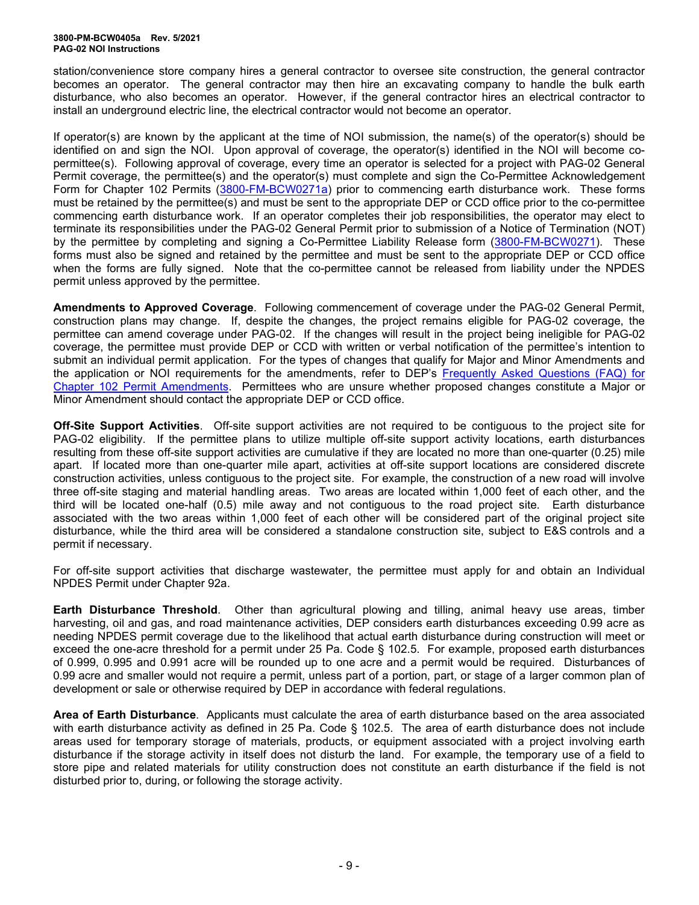station/convenience store company hires a general contractor to oversee site construction, the general contractor becomes an operator. The general contractor may then hire an excavating company to handle the bulk earth disturbance, who also becomes an operator. However, if the general contractor hires an electrical contractor to install an underground electric line, the electrical contractor would not become an operator.

If operator(s) are known by the applicant at the time of NOI submission, the name(s) of the operator(s) should be identified on and sign the NOI. Upon approval of coverage, the operator(s) identified in the NOI will become copermittee(s). Following approval of coverage, every time an operator is selected for a project with PAG-02 General Permit coverage, the permittee(s) and the operator(s) must complete and sign the Co-Permittee Acknowledgement Form for Chapter 102 Permits [\(3800-FM-BCW0271a\)](http://www.depgreenport.state.pa.us/elibrary/GetFolder?FolderID=2713) prior to commencing earth disturbance work. These forms must be retained by the permittee(s) and must be sent to the appropriate DEP or CCD office prior to the co-permittee commencing earth disturbance work. If an operator completes their job responsibilities, the operator may elect to terminate its responsibilities under the PAG-02 General Permit prior to submission of a Notice of Termination (NOT) by the permittee by completing and signing a Co-Permittee Liability Release form [\(3800-FM-BCW0271\)](http://www.depgreenport.state.pa.us/elibrary/GetFolder?FolderID=2713). These forms must also be signed and retained by the permittee and must be sent to the appropriate DEP or CCD office when the forms are fully signed. Note that the co-permittee cannot be released from liability under the NPDES permit unless approved by the permittee.

**Amendments to Approved Coverage**. Following commencement of coverage under the PAG-02 General Permit, construction plans may change. If, despite the changes, the project remains eligible for PAG-02 coverage, the permittee can amend coverage under PAG-02. If the changes will result in the project being ineligible for PAG-02 coverage, the permittee must provide DEP or CCD with written or verbal notification of the permittee's intention to submit an individual permit application. For the types of changes that qualify for Major and Minor Amendments and the application or NOI requirements for the amendments, refer to DEP's Frequently Asked [Questions \(FAQ\) for](http://files.dep.state.pa.us/Water/BPNPSM/StormwaterManagement/ConstructionStormwater/Chapter_102_Permit_Amendments_FAQ.pdf)  Chapter 102 [Permit Amendments.](http://files.dep.state.pa.us/Water/BPNPSM/StormwaterManagement/ConstructionStormwater/Chapter_102_Permit_Amendments_FAQ.pdf) Permittees who are unsure whether proposed changes constitute a Major or Minor Amendment should contact the appropriate DEP or CCD office.

**Off-Site Support Activities**. Off-site support activities are not required to be contiguous to the project site for PAG-02 eligibility. If the permittee plans to utilize multiple off-site support activity locations, earth disturbances resulting from these off-site support activities are cumulative if they are located no more than one-quarter (0.25) mile apart. If located more than one-quarter mile apart, activities at off-site support locations are considered discrete construction activities, unless contiguous to the project site. For example, the construction of a new road will involve three off-site staging and material handling areas. Two areas are located within 1,000 feet of each other, and the third will be located one-half (0.5) mile away and not contiguous to the road project site. Earth disturbance associated with the two areas within 1,000 feet of each other will be considered part of the original project site disturbance, while the third area will be considered a standalone construction site, subject to E&S controls and a permit if necessary.

For off-site support activities that discharge wastewater, the permittee must apply for and obtain an Individual NPDES Permit under Chapter 92a.

**Earth Disturbance Threshold**. Other than agricultural plowing and tilling, animal heavy use areas, timber harvesting, oil and gas, and road maintenance activities, DEP considers earth disturbances exceeding 0.99 acre as needing NPDES permit coverage due to the likelihood that actual earth disturbance during construction will meet or exceed the one-acre threshold for a permit under 25 Pa. Code § 102.5. For example, proposed earth disturbances of 0.999, 0.995 and 0.991 acre will be rounded up to one acre and a permit would be required. Disturbances of 0.99 acre and smaller would not require a permit, unless part of a portion, part, or stage of a larger common plan of development or sale or otherwise required by DEP in accordance with federal regulations.

**Area of Earth Disturbance**. Applicants must calculate the area of earth disturbance based on the area associated with earth disturbance activity as defined in 25 Pa. Code § 102.5. The area of earth disturbance does not include areas used for temporary storage of materials, products, or equipment associated with a project involving earth disturbance if the storage activity in itself does not disturb the land. For example, the temporary use of a field to store pipe and related materials for utility construction does not constitute an earth disturbance if the field is not disturbed prior to, during, or following the storage activity.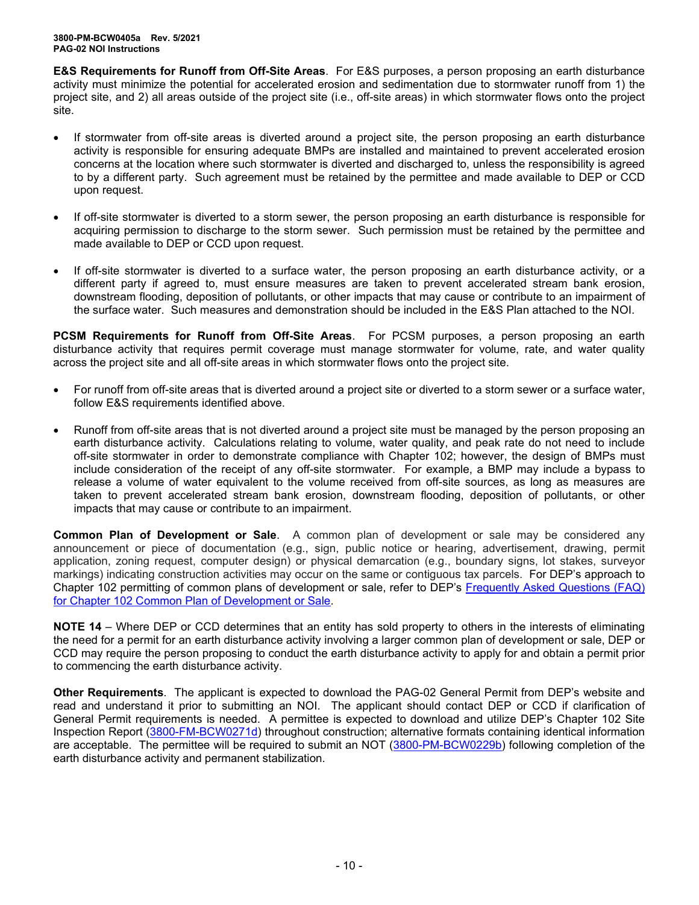**E&S Requirements for Runoff from Off-Site Areas**. For E&S purposes, a person proposing an earth disturbance activity must minimize the potential for accelerated erosion and sedimentation due to stormwater runoff from 1) the project site, and 2) all areas outside of the project site (i.e., off-site areas) in which stormwater flows onto the project site.

- If stormwater from off-site areas is diverted around a project site, the person proposing an earth disturbance activity is responsible for ensuring adequate BMPs are installed and maintained to prevent accelerated erosion concerns at the location where such stormwater is diverted and discharged to, unless the responsibility is agreed to by a different party. Such agreement must be retained by the permittee and made available to DEP or CCD upon request.
- If off-site stormwater is diverted to a storm sewer, the person proposing an earth disturbance is responsible for acquiring permission to discharge to the storm sewer. Such permission must be retained by the permittee and made available to DEP or CCD upon request.
- If off-site stormwater is diverted to a surface water, the person proposing an earth disturbance activity, or a different party if agreed to, must ensure measures are taken to prevent accelerated stream bank erosion, downstream flooding, deposition of pollutants, or other impacts that may cause or contribute to an impairment of the surface water. Such measures and demonstration should be included in the E&S Plan attached to the NOI.

**PCSM Requirements for Runoff from Off-Site Areas**. For PCSM purposes, a person proposing an earth disturbance activity that requires permit coverage must manage stormwater for volume, rate, and water quality across the project site and all off-site areas in which stormwater flows onto the project site.

- For runoff from off-site areas that is diverted around a project site or diverted to a storm sewer or a surface water, follow E&S requirements identified above.
- Runoff from off-site areas that is not diverted around a project site must be managed by the person proposing an earth disturbance activity. Calculations relating to volume, water quality, and peak rate do not need to include off-site stormwater in order to demonstrate compliance with Chapter 102; however, the design of BMPs must include consideration of the receipt of any off-site stormwater. For example, a BMP may include a bypass to release a volume of water equivalent to the volume received from off-site sources, as long as measures are taken to prevent accelerated stream bank erosion, downstream flooding, deposition of pollutants, or other impacts that may cause or contribute to an impairment.

**Common Plan of Development or Sale**. A common plan of development or sale may be considered any announcement or piece of documentation (e.g., sign, public notice or hearing, advertisement, drawing, permit application, zoning request, computer design) or physical demarcation (e.g., boundary signs, lot stakes, surveyor markings) indicating construction activities may occur on the same or contiguous tax parcels. For DEP's approach to Chapter 102 permitting of common plans of development or sale, refer to DEP's [Frequently Asked Questions \(FAQ\)](http://files.dep.state.pa.us/Water/BPNPSM/StormwaterManagement/ConstructionStormwater/Common_Plan_FAQ.pdf)  for Chapter 102 [Common Plan of Development](http://files.dep.state.pa.us/Water/BPNPSM/StormwaterManagement/ConstructionStormwater/Common_Plan_FAQ.pdf) or Sale.

**NOTE 14** – Where DEP or CCD determines that an entity has sold property to others in the interests of eliminating the need for a permit for an earth disturbance activity involving a larger common plan of development or sale, DEP or CCD may require the person proposing to conduct the earth disturbance activity to apply for and obtain a permit prior to commencing the earth disturbance activity.

**Other Requirements**. The applicant is expected to download the PAG-02 General Permit from DEP's website and read and understand it prior to submitting an NOI. The applicant should contact DEP or CCD if clarification of General Permit requirements is needed. A permittee is expected to download and utilize DEP's Chapter 102 Site Inspection Report [\(3800-FM-BCW0271d\)](http://www.depgreenport.state.pa.us/elibrary/GetFolder?FolderID=2713) throughout construction; alternative formats containing identical information are acceptable. The permittee will be required to submit an NOT [\(3800-PM-BCW0229b\)](http://www.depgreenport.state.pa.us/elibrary/GetFolder?FolderID=3668) following completion of the earth disturbance activity and permanent stabilization.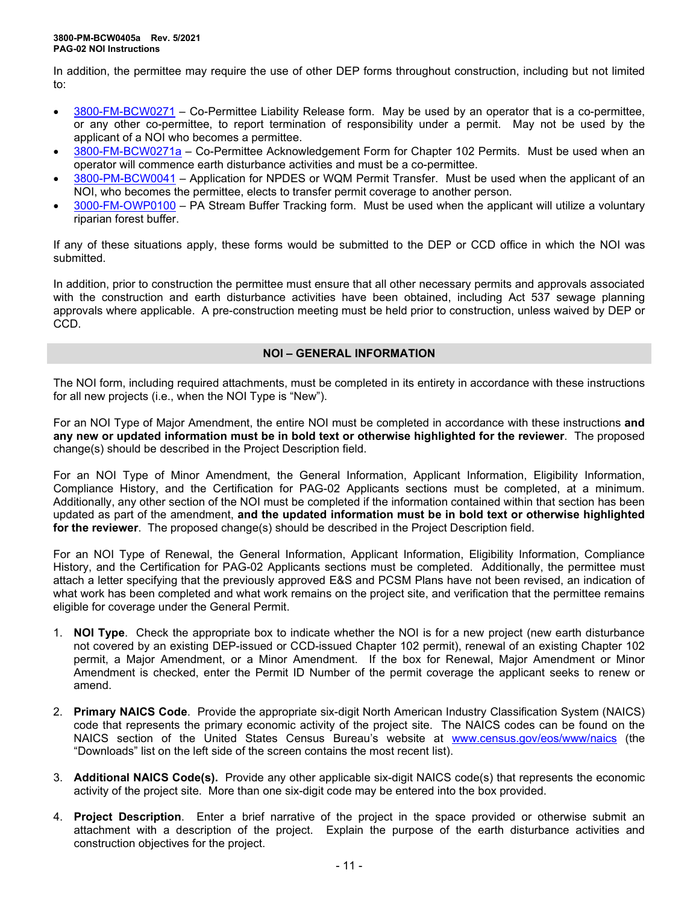In addition, the permittee may require the use of other DEP forms throughout construction, including but not limited to:

- [3800-FM-BCW0271](http://www.depgreenport.state.pa.us/elibrary/GetFolder?FolderID=2713) Co-Permittee Liability Release form. May be used by an operator that is a co-permittee, or any other co-permittee, to report termination of responsibility under a permit. May not be used by the applicant of a NOI who becomes a permittee.
- [3800-FM-BCW0271a](http://www.depgreenport.state.pa.us/elibrary/GetFolder?FolderID=2713) Co-Permittee Acknowledgement Form for Chapter 102 Permits. Must be used when an operator will commence earth disturbance activities and must be a co-permittee.
- [3800-PM-BCW0041](http://www.depgreenport.state.pa.us/elibrary/GetFolder?FolderID=3665) Application for NPDES or WQM Permit Transfer. Must be used when the applicant of an NOI, who becomes the permittee, elects to transfer permit coverage to another person.
- [3000-FM-OWP0100](http://www.depgreenport.state.pa.us/elibrary/GetDocument?docId=1445675&DocName=PA%20STREAM%20BUFFER%20TRACKING%20FORM.PDF%20%20%3Cspan%20style%3D%22color%3Agreen%3B%22%3E%3C%2Fspan%3E%20%3Cspan%20style%3D%22color%3Ablue%3B%22%3E%3C%2Fspan%3E) PA Stream Buffer Tracking form. Must be used when the applicant will utilize a voluntary riparian forest buffer.

If any of these situations apply, these forms would be submitted to the DEP or CCD office in which the NOI was submitted.

In addition, prior to construction the permittee must ensure that all other necessary permits and approvals associated with the construction and earth disturbance activities have been obtained, including Act 537 sewage planning approvals where applicable. A pre-construction meeting must be held prior to construction, unless waived by DEP or CCD.

## **NOI – GENERAL INFORMATION**

The NOI form, including required attachments, must be completed in its entirety in accordance with these instructions for all new projects (i.e., when the NOI Type is "New").

For an NOI Type of Major Amendment, the entire NOI must be completed in accordance with these instructions **and any new or updated information must be in bold text or otherwise highlighted for the reviewer**. The proposed change(s) should be described in the Project Description field.

For an NOI Type of Minor Amendment, the General Information, Applicant Information, Eligibility Information, Compliance History, and the Certification for PAG-02 Applicants sections must be completed, at a minimum. Additionally, any other section of the NOI must be completed if the information contained within that section has been updated as part of the amendment, **and the updated information must be in bold text or otherwise highlighted for the reviewer**. The proposed change(s) should be described in the Project Description field.

For an NOI Type of Renewal, the General Information, Applicant Information, Eligibility Information, Compliance History, and the Certification for PAG-02 Applicants sections must be completed. Additionally, the permittee must attach a letter specifying that the previously approved E&S and PCSM Plans have not been revised, an indication of what work has been completed and what work remains on the project site, and verification that the permittee remains eligible for coverage under the General Permit.

- 1. **NOI Type**. Check the appropriate box to indicate whether the NOI is for a new project (new earth disturbance not covered by an existing DEP-issued or CCD-issued Chapter 102 permit), renewal of an existing Chapter 102 permit, a Major Amendment, or a Minor Amendment. If the box for Renewal, Major Amendment or Minor Amendment is checked, enter the Permit ID Number of the permit coverage the applicant seeks to renew or amend.
- 2. **Primary NAICS Code**. Provide the appropriate six-digit North American Industry Classification System (NAICS) code that represents the primary economic activity of the project site. The NAICS codes can be found on the NAICS section of the United States Census Bureau's website at [www.census.gov/eos/www/naics](http://www.census.gov/eos/www/naics) (the "Downloads" list on the left side of the screen contains the most recent list).
- 3. **Additional NAICS Code(s).** Provide any other applicable six-digit NAICS code(s) that represents the economic activity of the project site. More than one six-digit code may be entered into the box provided.
- 4. **Project Description**. Enter a brief narrative of the project in the space provided or otherwise submit an attachment with a description of the project. Explain the purpose of the earth disturbance activities and construction objectives for the project.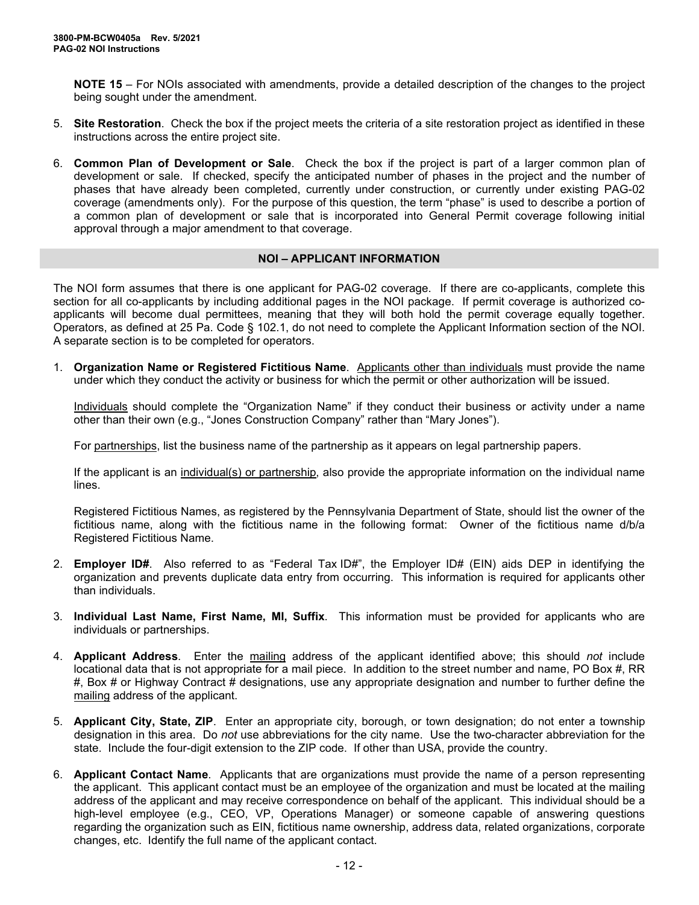**NOTE 15** – For NOIs associated with amendments, provide a detailed description of the changes to the project being sought under the amendment.

- 5. **Site Restoration**. Check the box if the project meets the criteria of a site restoration project as identified in these instructions across the entire project site.
- 6. **Common Plan of Development or Sale**. Check the box if the project is part of a larger common plan of development or sale. If checked, specify the anticipated number of phases in the project and the number of phases that have already been completed, currently under construction, or currently under existing PAG-02 coverage (amendments only). For the purpose of this question, the term "phase" is used to describe a portion of a common plan of development or sale that is incorporated into General Permit coverage following initial approval through a major amendment to that coverage.

## **NOI – APPLICANT INFORMATION**

The NOI form assumes that there is one applicant for PAG-02 coverage. If there are co-applicants, complete this section for all co-applicants by including additional pages in the NOI package. If permit coverage is authorized coapplicants will become dual permittees, meaning that they will both hold the permit coverage equally together. Operators, as defined at 25 Pa. Code § 102.1, do not need to complete the Applicant Information section of the NOI. A separate section is to be completed for operators.

1. **Organization Name or Registered Fictitious Name**. Applicants other than individuals must provide the name under which they conduct the activity or business for which the permit or other authorization will be issued.

Individuals should complete the "Organization Name" if they conduct their business or activity under a name other than their own (e.g., "Jones Construction Company" rather than "Mary Jones").

For partnerships, list the business name of the partnership as it appears on legal partnership papers.

If the applicant is an individual(s) or partnership, also provide the appropriate information on the individual name lines.

Registered Fictitious Names, as registered by the Pennsylvania Department of State, should list the owner of the fictitious name, along with the fictitious name in the following format: Owner of the fictitious name d/b/a Registered Fictitious Name.

- 2. **Employer ID#**. Also referred to as "Federal Tax ID#", the Employer ID# (EIN) aids DEP in identifying the organization and prevents duplicate data entry from occurring. This information is required for applicants other than individuals.
- 3. **Individual Last Name, First Name, MI, Suffix**. This information must be provided for applicants who are individuals or partnerships.
- 4. **Applicant Address**. Enter the mailing address of the applicant identified above; this should *not* include locational data that is not appropriate for a mail piece. In addition to the street number and name, PO Box #, RR #, Box # or Highway Contract # designations, use any appropriate designation and number to further define the mailing address of the applicant.
- 5. **Applicant City, State, ZIP**. Enter an appropriate city, borough, or town designation; do not enter a township designation in this area. Do *not* use abbreviations for the city name. Use the two-character abbreviation for the state. Include the four-digit extension to the ZIP code. If other than USA, provide the country.
- 6. **Applicant Contact Name**. Applicants that are organizations must provide the name of a person representing the applicant. This applicant contact must be an employee of the organization and must be located at the mailing address of the applicant and may receive correspondence on behalf of the applicant. This individual should be a high-level employee (e.g., CEO, VP, Operations Manager) or someone capable of answering questions regarding the organization such as EIN, fictitious name ownership, address data, related organizations, corporate changes, etc. Identify the full name of the applicant contact.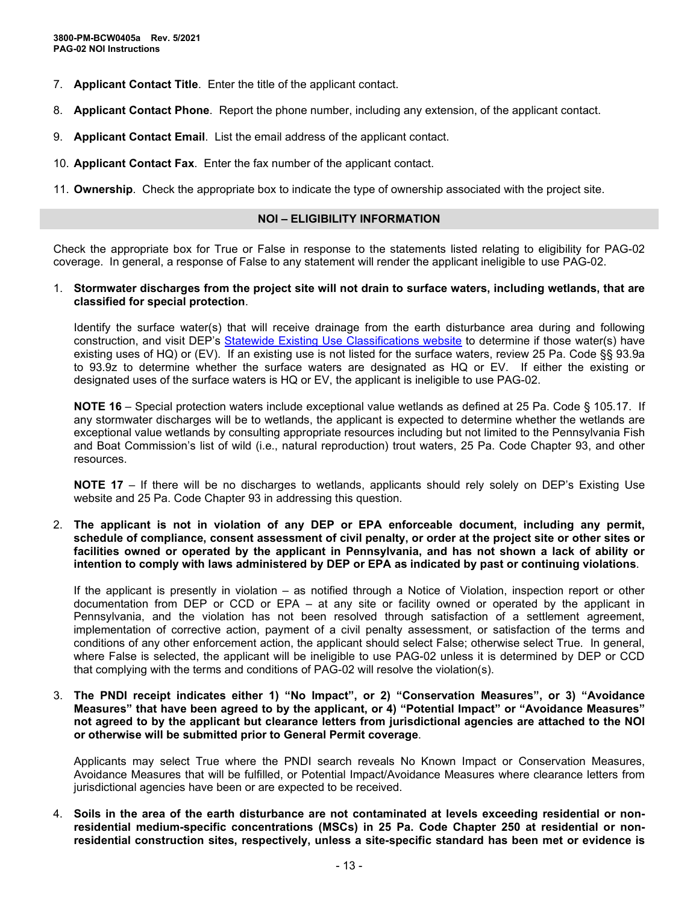- 7. **Applicant Contact Title**. Enter the title of the applicant contact.
- 8. **Applicant Contact Phone**. Report the phone number, including any extension, of the applicant contact.
- 9. **Applicant Contact Email**. List the email address of the applicant contact.
- 10. **Applicant Contact Fax**. Enter the fax number of the applicant contact.

11. **Ownership**. Check the appropriate box to indicate the type of ownership associated with the project site.

## **NOI – ELIGIBILITY INFORMATION**

Check the appropriate box for True or False in response to the statements listed relating to eligibility for PAG-02 coverage. In general, a response of False to any statement will render the applicant ineligible to use PAG-02.

#### 1. **Stormwater discharges from the project site will not drain to surface waters, including wetlands, that are classified for special protection**.

Identify the surface water(s) that will receive drainage from the earth disturbance area during and following construction, and visit DEP's [Statewide Existing Use Classifications website](https://www.dep.pa.gov/Business/Water/CleanWater/WaterQuality/StreamRedesignations/Pages/Statewide-Existing-Use-Classifications.aspx) to determine if those water(s) have existing uses of HQ) or (EV). If an existing use is not listed for the surface waters, review 25 Pa. Code §§ 93.9a to 93.9z to determine whether the surface waters are designated as HQ or EV. If either the existing or designated uses of the surface waters is HQ or EV, the applicant is ineligible to use PAG-02.

**NOTE 16** – Special protection waters include exceptional value wetlands as defined at 25 Pa. Code § 105.17. If any stormwater discharges will be to wetlands, the applicant is expected to determine whether the wetlands are exceptional value wetlands by consulting appropriate resources including but not limited to the Pennsylvania Fish and Boat Commission's list of wild (i.e., natural reproduction) trout waters, 25 Pa. Code Chapter 93, and other resources.

**NOTE 17** – If there will be no discharges to wetlands, applicants should rely solely on DEP's Existing Use website and 25 Pa. Code Chapter 93 in addressing this question.

2. **The applicant is not in violation of any DEP or EPA enforceable document, including any permit, schedule of compliance, consent assessment of civil penalty, or order at the project site or other sites or facilities owned or operated by the applicant in Pennsylvania, and has not shown a lack of ability or intention to comply with laws administered by DEP or EPA as indicated by past or continuing violations**.

If the applicant is presently in violation – as notified through a Notice of Violation, inspection report or other documentation from DEP or CCD or EPA – at any site or facility owned or operated by the applicant in Pennsylvania, and the violation has not been resolved through satisfaction of a settlement agreement, implementation of corrective action, payment of a civil penalty assessment, or satisfaction of the terms and conditions of any other enforcement action, the applicant should select False; otherwise select True. In general, where False is selected, the applicant will be ineligible to use PAG-02 unless it is determined by DEP or CCD that complying with the terms and conditions of PAG-02 will resolve the violation(s).

3. **The PNDI receipt indicates either 1) "No Impact", or 2) "Conservation Measures", or 3) "Avoidance Measures" that have been agreed to by the applicant, or 4) "Potential Impact" or "Avoidance Measures" not agreed to by the applicant but clearance letters from jurisdictional agencies are attached to the NOI or otherwise will be submitted prior to General Permit coverage**.

Applicants may select True where the PNDI search reveals No Known Impact or Conservation Measures, Avoidance Measures that will be fulfilled, or Potential Impact/Avoidance Measures where clearance letters from jurisdictional agencies have been or are expected to be received.

4. **Soils in the area of the earth disturbance are not contaminated at levels exceeding residential or nonresidential medium-specific concentrations (MSCs) in 25 Pa. Code Chapter 250 at residential or nonresidential construction sites, respectively, unless a site-specific standard has been met or evidence is**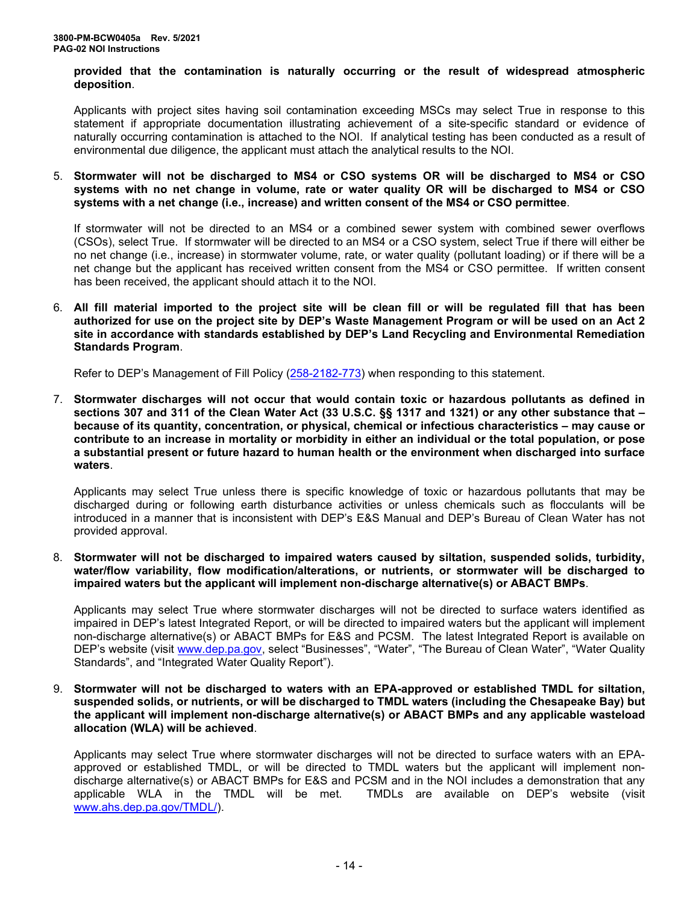#### **provided that the contamination is naturally occurring or the result of widespread atmospheric deposition**.

Applicants with project sites having soil contamination exceeding MSCs may select True in response to this statement if appropriate documentation illustrating achievement of a site-specific standard or evidence of naturally occurring contamination is attached to the NOI. If analytical testing has been conducted as a result of environmental due diligence, the applicant must attach the analytical results to the NOI.

#### 5. **Stormwater will not be discharged to MS4 or CSO systems OR will be discharged to MS4 or CSO systems with no net change in volume, rate or water quality OR will be discharged to MS4 or CSO systems with a net change (i.e., increase) and written consent of the MS4 or CSO permittee**.

If stormwater will not be directed to an MS4 or a combined sewer system with combined sewer overflows (CSOs), select True. If stormwater will be directed to an MS4 or a CSO system, select True if there will either be no net change (i.e., increase) in stormwater volume, rate, or water quality (pollutant loading) or if there will be a net change but the applicant has received written consent from the MS4 or CSO permittee. If written consent has been received, the applicant should attach it to the NOI.

6. **All fill material imported to the project site will be clean fill or will be regulated fill that has been authorized for use on the project site by DEP's Waste Management Program or will be used on an Act 2 site in accordance with standards established by DEP's Land Recycling and Environmental Remediation Standards Program**.

Refer to DEP's Management of Fill Policy [\(258-2182-773\)](http://www.depgreenport.state.pa.us/elibrary/GetFolder?FolderID=4647) when responding to this statement.

7. **Stormwater discharges will not occur that would contain toxic or hazardous pollutants as defined in sections 307 and 311 of the Clean Water Act (33 U.S.C. §§ 1317 and 1321) or any other substance that – because of its quantity, concentration, or physical, chemical or infectious characteristics – may cause or contribute to an increase in mortality or morbidity in either an individual or the total population, or pose a substantial present or future hazard to human health or the environment when discharged into surface waters**.

Applicants may select True unless there is specific knowledge of toxic or hazardous pollutants that may be discharged during or following earth disturbance activities or unless chemicals such as flocculants will be introduced in a manner that is inconsistent with DEP's E&S Manual and DEP's Bureau of Clean Water has not provided approval.

8. **Stormwater will not be discharged to impaired waters caused by siltation, suspended solids, turbidity, water/flow variability, flow modification/alterations, or nutrients, or stormwater will be discharged to impaired waters but the applicant will implement non-discharge alternative(s) or ABACT BMPs**.

Applicants may select True where stormwater discharges will not be directed to surface waters identified as impaired in DEP's latest Integrated Report, or will be directed to impaired waters but the applicant will implement non-discharge alternative(s) or ABACT BMPs for E&S and PCSM. The latest Integrated Report is available on DEP's website (visit www.dep.pa.gov, select "Businesses", "Water", "The Bureau of Clean Water", "Water Quality Standards", and "Integrated Water Quality Report").

9. **Stormwater will not be discharged to waters with an EPA-approved or established TMDL for siltation, suspended solids, or nutrients, or will be discharged to TMDL waters (including the Chesapeake Bay) but the applicant will implement non-discharge alternative(s) or ABACT BMPs and any applicable wasteload allocation (WLA) will be achieved**.

Applicants may select True where stormwater discharges will not be directed to surface waters with an EPAapproved or established TMDL, or will be directed to TMDL waters but the applicant will implement nondischarge alternative(s) or ABACT BMPs for E&S and PCSM and in the NOI includes a demonstration that any applicable WLA in the TMDL will be met. TMDLs are available on DEP's website (visit www.ahs.dep.pa.gov/TMDL/).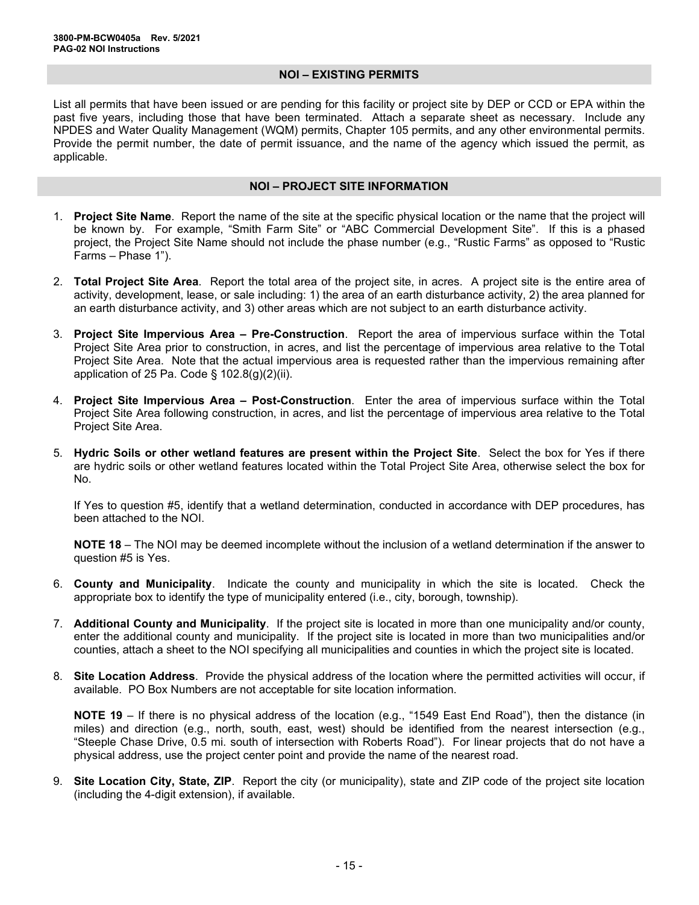#### **NOI – EXISTING PERMITS**

List all permits that have been issued or are pending for this facility or project site by DEP or CCD or EPA within the past five years, including those that have been terminated. Attach a separate sheet as necessary. Include any NPDES and Water Quality Management (WQM) permits, Chapter 105 permits, and any other environmental permits. Provide the permit number, the date of permit issuance, and the name of the agency which issued the permit, as applicable.

#### **NOI – PROJECT SITE INFORMATION**

- 1. **Project Site Name**. Report the name of the site at the specific physical location or the name that the project will be known by. For example, "Smith Farm Site" or "ABC Commercial Development Site". If this is a phased project, the Project Site Name should not include the phase number (e.g., "Rustic Farms" as opposed to "Rustic Farms – Phase 1").
- 2. **Total Project Site Area**. Report the total area of the project site, in acres. A project site is the entire area of activity, development, lease, or sale including: 1) the area of an earth disturbance activity, 2) the area planned for an earth disturbance activity, and 3) other areas which are not subject to an earth disturbance activity.
- 3. **Project Site Impervious Area – Pre-Construction**. Report the area of impervious surface within the Total Project Site Area prior to construction, in acres, and list the percentage of impervious area relative to the Total Project Site Area. Note that the actual impervious area is requested rather than the impervious remaining after application of 25 Pa. Code  $\S$  102.8(g)(2)(ii).
- 4. **Project Site Impervious Area – Post-Construction**. Enter the area of impervious surface within the Total Project Site Area following construction, in acres, and list the percentage of impervious area relative to the Total Project Site Area.
- 5. **Hydric Soils or other wetland features are present within the Project Site**. Select the box for Yes if there are hydric soils or other wetland features located within the Total Project Site Area, otherwise select the box for No.

If Yes to question #5, identify that a wetland determination, conducted in accordance with DEP procedures, has been attached to the NOI.

**NOTE 18** – The NOI may be deemed incomplete without the inclusion of a wetland determination if the answer to question #5 is Yes.

- 6. **County and Municipality**. Indicate the county and municipality in which the site is located. Check the appropriate box to identify the type of municipality entered (i.e., city, borough, township).
- 7. **Additional County and Municipality**. If the project site is located in more than one municipality and/or county, enter the additional county and municipality. If the project site is located in more than two municipalities and/or counties, attach a sheet to the NOI specifying all municipalities and counties in which the project site is located.
- 8. **Site Location Address**. Provide the physical address of the location where the permitted activities will occur, if available. PO Box Numbers are not acceptable for site location information.

**NOTE 19** – If there is no physical address of the location (e.g., "1549 East End Road"), then the distance (in miles) and direction (e.g., north, south, east, west) should be identified from the nearest intersection (e.g., "Steeple Chase Drive, 0.5 mi. south of intersection with Roberts Road"). For linear projects that do not have a physical address, use the project center point and provide the name of the nearest road.

9. **Site Location City, State, ZIP**. Report the city (or municipality), state and ZIP code of the project site location (including the 4-digit extension), if available.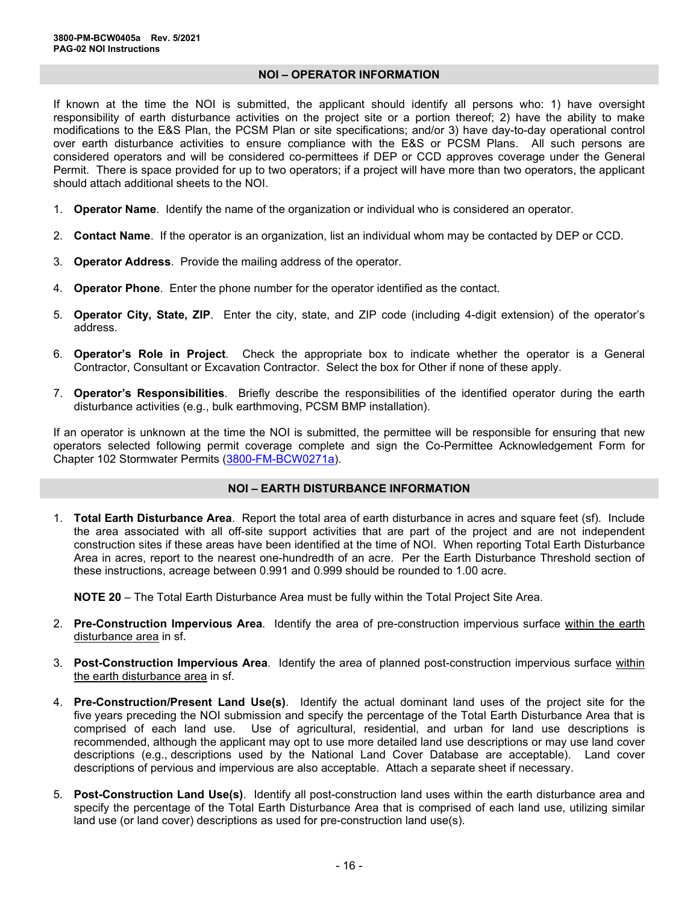#### **NOI – OPERATOR INFORMATION**

If known at the time the NOI is submitted, the applicant should identify all persons who: 1) have oversight responsibility of earth disturbance activities on the project site or a portion thereof; 2) have the ability to make modifications to the E&S Plan, the PCSM Plan or site specifications; and/or 3) have day-to-day operational control over earth disturbance activities to ensure compliance with the E&S or PCSM Plans. All such persons are considered operators and will be considered co-permittees if DEP or CCD approves coverage under the General Permit. There is space provided for up to two operators; if a project will have more than two operators, the applicant should attach additional sheets to the NOI.

- 1. **Operator Name**. Identify the name of the organization or individual who is considered an operator.
- 2. **Contact Name**. If the operator is an organization, list an individual whom may be contacted by DEP or CCD.
- 3. **Operator Address**. Provide the mailing address of the operator.
- 4. **Operator Phone**. Enter the phone number for the operator identified as the contact.
- 5. **Operator City, State, ZIP**. Enter the city, state, and ZIP code (including 4-digit extension) of the operator's address.
- 6. **Operator's Role in Project**. Check the appropriate box to indicate whether the operator is a General Contractor, Consultant or Excavation Contractor. Select the box for Other if none of these apply.
- 7. **Operator's Responsibilities**. Briefly describe the responsibilities of the identified operator during the earth disturbance activities (e.g., bulk earthmoving, PCSM BMP installation).

If an operator is unknown at the time the NOI is submitted, the permittee will be responsible for ensuring that new operators selected following permit coverage complete and sign the Co-Permittee Acknowledgement Form for Chapter 102 Stormwater Permits [\(3800-FM-BCW0271a\)](http://www.depgreenport.state.pa.us/elibrary/GetFolder?FolderID=2713).

#### **NOI – EARTH DISTURBANCE INFORMATION**

1. **Total Earth Disturbance Area**. Report the total area of earth disturbance in acres and square feet (sf). Include the area associated with all off-site support activities that are part of the project and are not independent construction sites if these areas have been identified at the time of NOI. When reporting Total Earth Disturbance Area in acres, report to the nearest one-hundredth of an acre. Per the Earth Disturbance Threshold section of these instructions, acreage between 0.991 and 0.999 should be rounded to 1.00 acre.

**NOTE 20** – The Total Earth Disturbance Area must be fully within the Total Project Site Area.

- 2. **Pre-Construction Impervious Area**. Identify the area of pre-construction impervious surface within the earth disturbance area in sf.
- 3. **Post-Construction Impervious Area**. Identify the area of planned post-construction impervious surface within the earth disturbance area in sf.
- 4. **Pre-Construction/Present Land Use(s)**. Identify the actual dominant land uses of the project site for the five years preceding the NOI submission and specify the percentage of the Total Earth Disturbance Area that is comprised of each land use. Use of agricultural, residential, and urban for land use descriptions is recommended, although the applicant may opt to use more detailed land use descriptions or may use land cover descriptions (e.g., descriptions used by the National Land Cover Database are acceptable). Land cover descriptions of pervious and impervious are also acceptable. Attach a separate sheet if necessary.
- 5. **Post-Construction Land Use(s)**. Identify all post-construction land uses within the earth disturbance area and specify the percentage of the Total Earth Disturbance Area that is comprised of each land use, utilizing similar land use (or land cover) descriptions as used for pre-construction land use(s).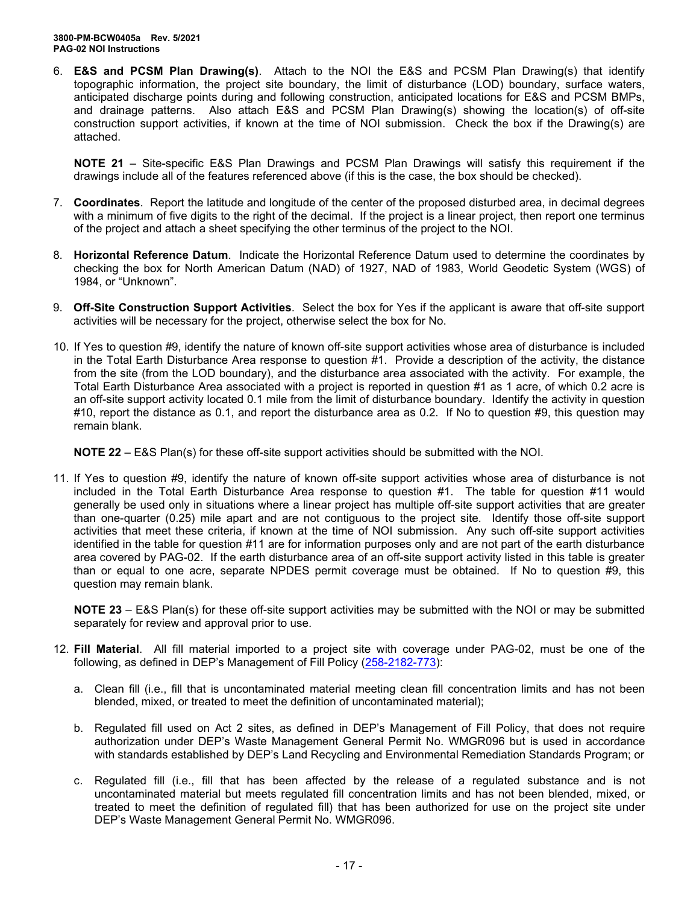6. **E&S and PCSM Plan Drawing(s)**. Attach to the NOI the E&S and PCSM Plan Drawing(s) that identify topographic information, the project site boundary, the limit of disturbance (LOD) boundary, surface waters, anticipated discharge points during and following construction, anticipated locations for E&S and PCSM BMPs, and drainage patterns. Also attach E&S and PCSM Plan Drawing(s) showing the location(s) of off-site construction support activities, if known at the time of NOI submission. Check the box if the Drawing(s) are attached.

**NOTE 21** – Site-specific E&S Plan Drawings and PCSM Plan Drawings will satisfy this requirement if the drawings include all of the features referenced above (if this is the case, the box should be checked).

- 7. **Coordinates**. Report the latitude and longitude of the center of the proposed disturbed area, in decimal degrees with a minimum of five digits to the right of the decimal. If the project is a linear project, then report one terminus of the project and attach a sheet specifying the other terminus of the project to the NOI.
- 8. **Horizontal Reference Datum**. Indicate the Horizontal Reference Datum used to determine the coordinates by checking the box for North American Datum (NAD) of 1927, NAD of 1983, World Geodetic System (WGS) of 1984, or "Unknown".
- 9. **Off-Site Construction Support Activities**. Select the box for Yes if the applicant is aware that off-site support activities will be necessary for the project, otherwise select the box for No.
- 10. If Yes to question #9, identify the nature of known off-site support activities whose area of disturbance is included in the Total Earth Disturbance Area response to question #1. Provide a description of the activity, the distance from the site (from the LOD boundary), and the disturbance area associated with the activity. For example, the Total Earth Disturbance Area associated with a project is reported in question #1 as 1 acre, of which 0.2 acre is an off-site support activity located 0.1 mile from the limit of disturbance boundary. Identify the activity in question #10, report the distance as 0.1, and report the disturbance area as 0.2. If No to question #9, this question may remain blank.

**NOTE 22** – E&S Plan(s) for these off-site support activities should be submitted with the NOI.

11. If Yes to question #9, identify the nature of known off-site support activities whose area of disturbance is not included in the Total Earth Disturbance Area response to question #1. The table for question #11 would generally be used only in situations where a linear project has multiple off-site support activities that are greater than one-quarter (0.25) mile apart and are not contiguous to the project site. Identify those off-site support activities that meet these criteria, if known at the time of NOI submission. Any such off-site support activities identified in the table for question #11 are for information purposes only and are not part of the earth disturbance area covered by PAG-02. If the earth disturbance area of an off-site support activity listed in this table is greater than or equal to one acre, separate NPDES permit coverage must be obtained. If No to question #9, this question may remain blank.

**NOTE 23** – E&S Plan(s) for these off-site support activities may be submitted with the NOI or may be submitted separately for review and approval prior to use.

- 12. **Fill Material**. All fill material imported to a project site with coverage under PAG-02, must be one of the following, as defined in DEP's Management of Fill Policy [\(258-2182-773\)](http://www.depgreenport.state.pa.us/elibrary/GetFolder?FolderID=4647):
	- a. Clean fill (i.e., fill that is uncontaminated material meeting clean fill concentration limits and has not been blended, mixed, or treated to meet the definition of uncontaminated material);
	- b. Regulated fill used on Act 2 sites, as defined in DEP's Management of Fill Policy, that does not require authorization under DEP's Waste Management General Permit No. WMGR096 but is used in accordance with standards established by DEP's Land Recycling and Environmental Remediation Standards Program; or
	- c. Regulated fill (i.e., fill that has been affected by the release of a regulated substance and is not uncontaminated material but meets regulated fill concentration limits and has not been blended, mixed, or treated to meet the definition of regulated fill) that has been authorized for use on the project site under DEP's Waste Management General Permit No. WMGR096.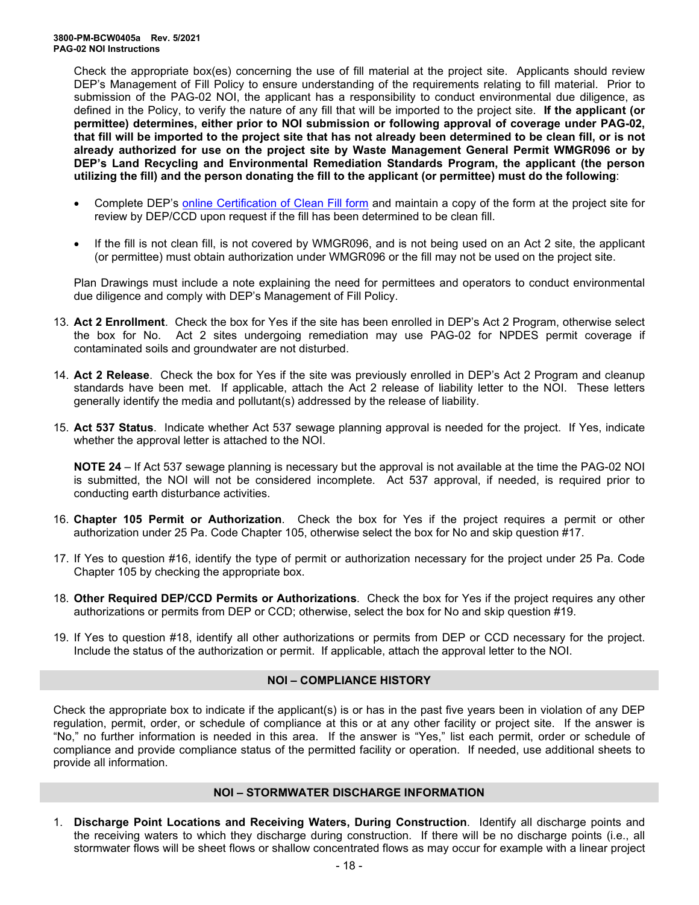Check the appropriate box(es) concerning the use of fill material at the project site. Applicants should review DEP's Management of Fill Policy to ensure understanding of the requirements relating to fill material. Prior to submission of the PAG-02 NOI, the applicant has a responsibility to conduct environmental due diligence, as defined in the Policy, to verify the nature of any fill that will be imported to the project site. **If the applicant (or permittee) determines, either prior to NOI submission or following approval of coverage under PAG-02, that fill will be imported to the project site that has not already been determined to be clean fill, or is not already authorized for use on the project site by Waste Management General Permit WMGR096 or by DEP's Land Recycling and Environmental Remediation Standards Program, the applicant (the person utilizing the fill) and the person donating the fill to the applicant (or permittee) must do the following**:

- Complete DEP's [online Certification of Clean Fill form](http://www.depgreenport.state.pa.us/CleanFill) and maintain a copy of the form at the project site for review by DEP/CCD upon request if the fill has been determined to be clean fill.
- If the fill is not clean fill, is not covered by WMGR096, and is not being used on an Act 2 site, the applicant (or permittee) must obtain authorization under WMGR096 or the fill may not be used on the project site.

Plan Drawings must include a note explaining the need for permittees and operators to conduct environmental due diligence and comply with DEP's Management of Fill Policy.

- 13. **Act 2 Enrollment**. Check the box for Yes if the site has been enrolled in DEP's Act 2 Program, otherwise select the box for No. Act 2 sites undergoing remediation may use PAG-02 for NPDES permit coverage if contaminated soils and groundwater are not disturbed.
- 14. **Act 2 Release**. Check the box for Yes if the site was previously enrolled in DEP's Act 2 Program and cleanup standards have been met. If applicable, attach the Act 2 release of liability letter to the NOI. These letters generally identify the media and pollutant(s) addressed by the release of liability.
- 15. **Act 537 Status**. Indicate whether Act 537 sewage planning approval is needed for the project. If Yes, indicate whether the approval letter is attached to the NOI.

**NOTE 24** – If Act 537 sewage planning is necessary but the approval is not available at the time the PAG-02 NOI is submitted, the NOI will not be considered incomplete. Act 537 approval, if needed, is required prior to conducting earth disturbance activities.

- 16. **Chapter 105 Permit or Authorization**. Check the box for Yes if the project requires a permit or other authorization under 25 Pa. Code Chapter 105, otherwise select the box for No and skip question #17.
- 17. If Yes to question #16, identify the type of permit or authorization necessary for the project under 25 Pa. Code Chapter 105 by checking the appropriate box.
- 18. **Other Required DEP/CCD Permits or Authorizations**. Check the box for Yes if the project requires any other authorizations or permits from DEP or CCD; otherwise, select the box for No and skip question #19.
- 19. If Yes to question #18, identify all other authorizations or permits from DEP or CCD necessary for the project. Include the status of the authorization or permit. If applicable, attach the approval letter to the NOI.

#### **NOI – COMPLIANCE HISTORY**

Check the appropriate box to indicate if the applicant(s) is or has in the past five years been in violation of any DEP regulation, permit, order, or schedule of compliance at this or at any other facility or project site. If the answer is "No," no further information is needed in this area. If the answer is "Yes," list each permit, order or schedule of compliance and provide compliance status of the permitted facility or operation. If needed, use additional sheets to provide all information.

## **NOI – STORMWATER DISCHARGE INFORMATION**

1. **Discharge Point Locations and Receiving Waters, During Construction**. Identify all discharge points and the receiving waters to which they discharge during construction. If there will be no discharge points (i.e., all stormwater flows will be sheet flows or shallow concentrated flows as may occur for example with a linear project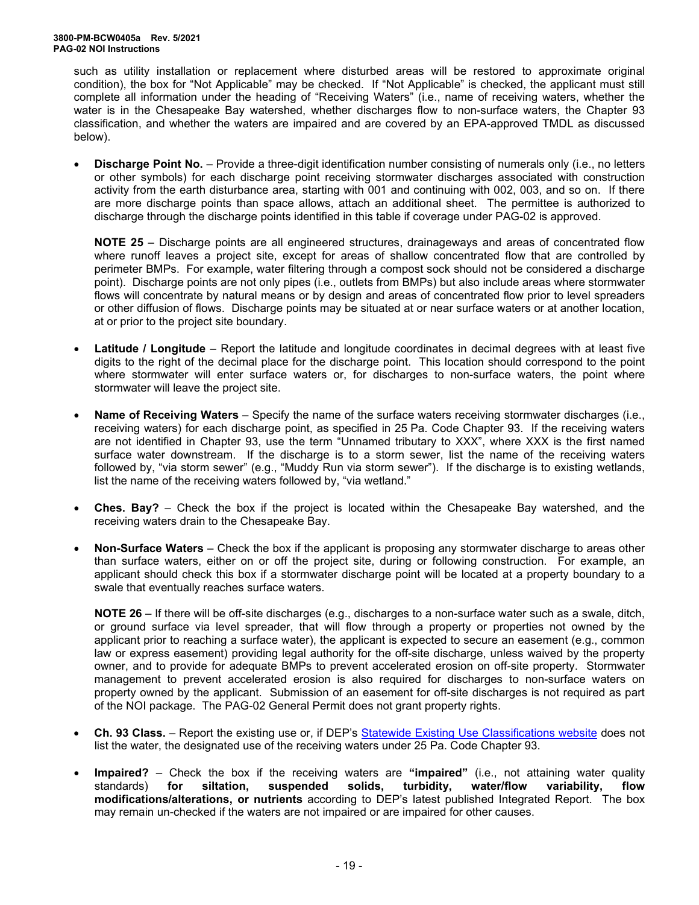such as utility installation or replacement where disturbed areas will be restored to approximate original condition), the box for "Not Applicable" may be checked. If "Not Applicable" is checked, the applicant must still complete all information under the heading of "Receiving Waters" (i.e., name of receiving waters, whether the water is in the Chesapeake Bay watershed, whether discharges flow to non-surface waters, the Chapter 93 classification, and whether the waters are impaired and are covered by an EPA-approved TMDL as discussed below).

• **Discharge Point No.** – Provide a three-digit identification number consisting of numerals only (i.e., no letters or other symbols) for each discharge point receiving stormwater discharges associated with construction activity from the earth disturbance area, starting with 001 and continuing with 002, 003, and so on. If there are more discharge points than space allows, attach an additional sheet. The permittee is authorized to discharge through the discharge points identified in this table if coverage under PAG-02 is approved.

**NOTE 25** – Discharge points are all engineered structures, drainageways and areas of concentrated flow where runoff leaves a project site, except for areas of shallow concentrated flow that are controlled by perimeter BMPs. For example, water filtering through a compost sock should not be considered a discharge point). Discharge points are not only pipes (i.e., outlets from BMPs) but also include areas where stormwater flows will concentrate by natural means or by design and areas of concentrated flow prior to level spreaders or other diffusion of flows. Discharge points may be situated at or near surface waters or at another location, at or prior to the project site boundary.

- **Latitude / Longitude** Report the latitude and longitude coordinates in decimal degrees with at least five digits to the right of the decimal place for the discharge point. This location should correspond to the point where stormwater will enter surface waters or, for discharges to non-surface waters, the point where stormwater will leave the project site.
- **Name of Receiving Waters**  Specify the name of the surface waters receiving stormwater discharges (i.e., receiving waters) for each discharge point, as specified in 25 Pa. Code Chapter 93. If the receiving waters are not identified in Chapter 93, use the term "Unnamed tributary to XXX", where XXX is the first named surface water downstream. If the discharge is to a storm sewer, list the name of the receiving waters followed by, "via storm sewer" (e.g., "Muddy Run via storm sewer"). If the discharge is to existing wetlands, list the name of the receiving waters followed by, "via wetland."
- **Ches. Bay?** Check the box if the project is located within the Chesapeake Bay watershed, and the receiving waters drain to the Chesapeake Bay.
- **Non-Surface Waters** Check the box if the applicant is proposing any stormwater discharge to areas other than surface waters, either on or off the project site, during or following construction. For example, an applicant should check this box if a stormwater discharge point will be located at a property boundary to a swale that eventually reaches surface waters.

**NOTE 26** – If there will be off-site discharges (e.g., discharges to a non-surface water such as a swale, ditch, or ground surface via level spreader, that will flow through a property or properties not owned by the applicant prior to reaching a surface water), the applicant is expected to secure an easement (e.g., common law or express easement) providing legal authority for the off-site discharge, unless waived by the property owner, and to provide for adequate BMPs to prevent accelerated erosion on off-site property. Stormwater management to prevent accelerated erosion is also required for discharges to non-surface waters on property owned by the applicant. Submission of an easement for off-site discharges is not required as part of the NOI package. The PAG-02 General Permit does not grant property rights.

- **Ch. 93 Class.** Report the existing use or, if DEP's [Statewide Existing](https://www.dep.pa.gov/Business/Water/CleanWater/WaterQuality/StreamRedesignations/Pages/Statewide-Existing-Use-Classifications.aspx) Use Classifications website does not list the water, the designated use of the receiving waters under 25 Pa. Code Chapter 93.
- **Impaired?** Check the box if the receiving waters are "impaired" (i.e., not attaining water quality standards) for siltation, suspended solids, turbidity, water/flow variability, flow standards) **for siltation, suspended solids, turbidity, water/flow variability, flow modifications/alterations, or nutrients** according to DEP's latest published Integrated Report. The box may remain un-checked if the waters are not impaired or are impaired for other causes.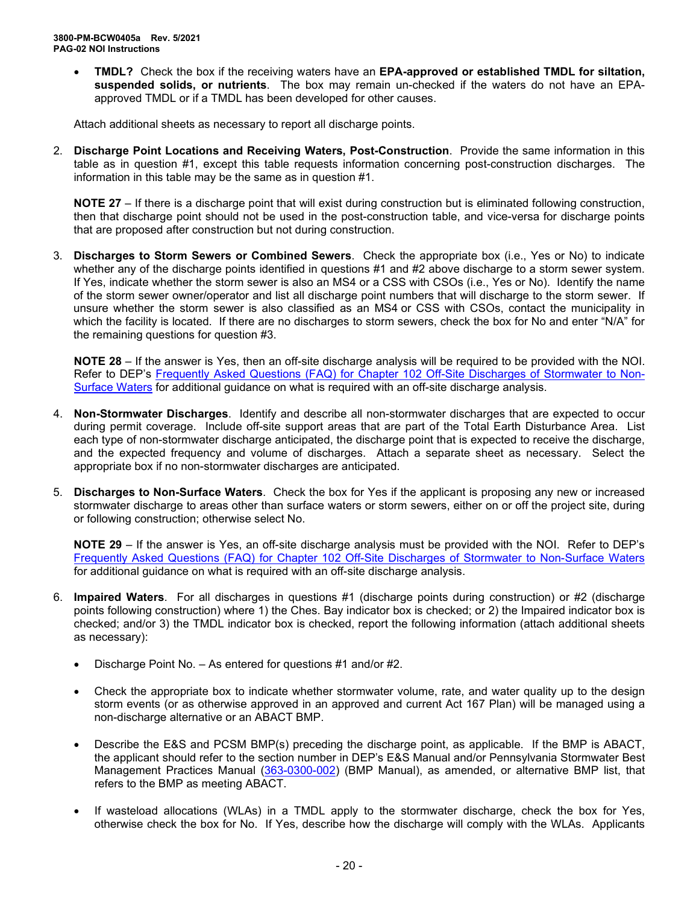• **TMDL?** Check the box if the receiving waters have an **EPA-approved or established TMDL for siltation, suspended solids, or nutrients**. The box may remain un-checked if the waters do not have an EPAapproved TMDL or if a TMDL has been developed for other causes.

Attach additional sheets as necessary to report all discharge points.

2. **Discharge Point Locations and Receiving Waters, Post-Construction**. Provide the same information in this table as in question #1, except this table requests information concerning post-construction discharges. The information in this table may be the same as in question #1.

**NOTE 27** – If there is a discharge point that will exist during construction but is eliminated following construction, then that discharge point should not be used in the post-construction table, and vice-versa for discharge points that are proposed after construction but not during construction.

3. **Discharges to Storm Sewers or Combined Sewers**. Check the appropriate box (i.e., Yes or No) to indicate whether any of the discharge points identified in questions #1 and #2 above discharge to a storm sewer system. If Yes, indicate whether the storm sewer is also an MS4 or a CSS with CSOs (i.e., Yes or No). Identify the name of the storm sewer owner/operator and list all discharge point numbers that will discharge to the storm sewer. If unsure whether the storm sewer is also classified as an MS4 or CSS with CSOs, contact the municipality in which the facility is located. If there are no discharges to storm sewers, check the box for No and enter "N/A" for the remaining questions for question #3.

**NOTE 28** – If the answer is Yes, then an off-site discharge analysis will be required to be provided with the NOI. Refer to DEP's Frequently Asked Questions (FAQ) for [Chapter 102 Off-Site Discharges of Stormwater to Non-](http://files.dep.state.pa.us/Water/BPNPSM/StormwaterManagement/ConstructionStormwater/Off-Site_Discharges_FAQ.pdf)[Surface Waters](http://files.dep.state.pa.us/Water/BPNPSM/StormwaterManagement/ConstructionStormwater/Off-Site_Discharges_FAQ.pdf) for additional guidance on what is required with an off-site discharge analysis.

- 4. **Non-Stormwater Discharges**. Identify and describe all non-stormwater discharges that are expected to occur during permit coverage. Include off-site support areas that are part of the Total Earth Disturbance Area. List each type of non-stormwater discharge anticipated, the discharge point that is expected to receive the discharge, and the expected frequency and volume of discharges. Attach a separate sheet as necessary. Select the appropriate box if no non-stormwater discharges are anticipated.
- 5. **Discharges to Non-Surface Waters**. Check the box for Yes if the applicant is proposing any new or increased stormwater discharge to areas other than surface waters or storm sewers, either on or off the project site, during or following construction; otherwise select No.

**NOTE 29** – If the answer is Yes, an off-site discharge analysis must be provided with the NOI. Refer to DEP's [Frequently Asked Questions \(FAQ\) for Chapter 102 Off-Site Discharges of Stormwater to](http://files.dep.state.pa.us/Water/BPNPSM/StormwaterManagement/ConstructionStormwater/Off-Site_Discharges_FAQ.pdf) Non-Surface Waters for additional guidance on what is required with an off-site discharge analysis.

- 6. **Impaired Waters**. For all discharges in questions #1 (discharge points during construction) or #2 (discharge points following construction) where 1) the Ches. Bay indicator box is checked; or 2) the Impaired indicator box is checked; and/or 3) the TMDL indicator box is checked, report the following information (attach additional sheets as necessary):
	- Discharge Point No. As entered for questions #1 and/or #2.
	- Check the appropriate box to indicate whether stormwater volume, rate, and water quality up to the design storm events (or as otherwise approved in an approved and current Act 167 Plan) will be managed using a non-discharge alternative or an ABACT BMP.
	- Describe the E&S and PCSM BMP(s) preceding the discharge point, as applicable. If the BMP is ABACT, the applicant should refer to the section number in DEP's E&S Manual and/or Pennsylvania Stormwater Best Management Practices Manual [\(363-0300-002\)](http://www.depgreenport.state.pa.us/elibrary/GetFolder?FolderID=4673) (BMP Manual), as amended, or alternative BMP list, that refers to the BMP as meeting ABACT.
	- If wasteload allocations (WLAs) in a TMDL apply to the stormwater discharge, check the box for Yes, otherwise check the box for No. If Yes, describe how the discharge will comply with the WLAs. Applicants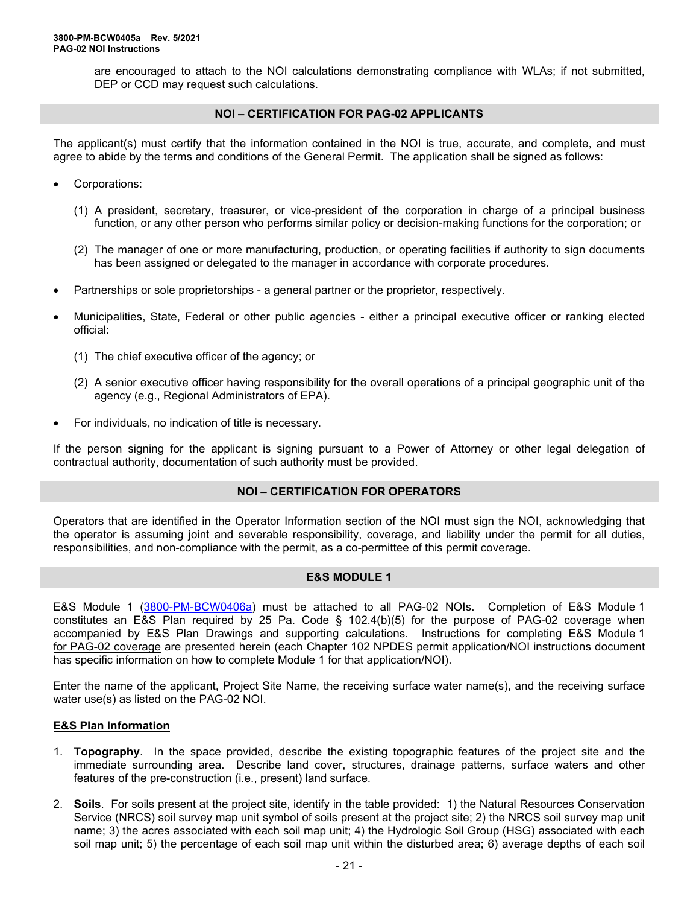are encouraged to attach to the NOI calculations demonstrating compliance with WLAs; if not submitted, DEP or CCD may request such calculations.

#### **NOI – CERTIFICATION FOR PAG-02 APPLICANTS**

The applicant(s) must certify that the information contained in the NOI is true, accurate, and complete, and must agree to abide by the terms and conditions of the General Permit. The application shall be signed as follows:

- Corporations:
	- (1) A president, secretary, treasurer, or vice-president of the corporation in charge of a principal business function, or any other person who performs similar policy or decision-making functions for the corporation; or
	- (2) The manager of one or more manufacturing, production, or operating facilities if authority to sign documents has been assigned or delegated to the manager in accordance with corporate procedures.
- Partnerships or sole proprietorships a general partner or the proprietor, respectively.
- Municipalities, State, Federal or other public agencies either a principal executive officer or ranking elected official:
	- (1) The chief executive officer of the agency; or
	- (2) A senior executive officer having responsibility for the overall operations of a principal geographic unit of the agency (e.g., Regional Administrators of EPA).
- For individuals, no indication of title is necessary.

If the person signing for the applicant is signing pursuant to a Power of Attorney or other legal delegation of contractual authority, documentation of such authority must be provided.

#### **NOI – CERTIFICATION FOR OPERATORS**

Operators that are identified in the Operator Information section of the NOI must sign the NOI, acknowledging that the operator is assuming joint and severable responsibility, coverage, and liability under the permit for all duties, responsibilities, and non-compliance with the permit, as a co-permittee of this permit coverage.

#### **E&S MODULE 1**

E&S Module 1 [\(3800-PM-BCW0406a\)](http://www.depgreenport.state.pa.us/elibrary/GetFolder?FolderID=90984) must be attached to all PAG-02 NOIs. Completion of E&S Module 1 constitutes an E&S Plan required by 25 Pa. Code § 102.4(b)(5) for the purpose of PAG-02 coverage when accompanied by E&S Plan Drawings and supporting calculations. Instructions for completing E&S Module 1 for PAG-02 coverage are presented herein (each Chapter 102 NPDES permit application/NOI instructions document has specific information on how to complete Module 1 for that application/NOI).

Enter the name of the applicant, Project Site Name, the receiving surface water name(s), and the receiving surface water use(s) as listed on the PAG-02 NOI.

## **E&S Plan Information**

- 1. **Topography**. In the space provided, describe the existing topographic features of the project site and the immediate surrounding area. Describe land cover, structures, drainage patterns, surface waters and other features of the pre-construction (i.e., present) land surface.
- 2. **Soils**. For soils present at the project site, identify in the table provided: 1) the Natural Resources Conservation Service (NRCS) soil survey map unit symbol of soils present at the project site; 2) the NRCS soil survey map unit name; 3) the acres associated with each soil map unit; 4) the Hydrologic Soil Group (HSG) associated with each soil map unit; 5) the percentage of each soil map unit within the disturbed area; 6) average depths of each soil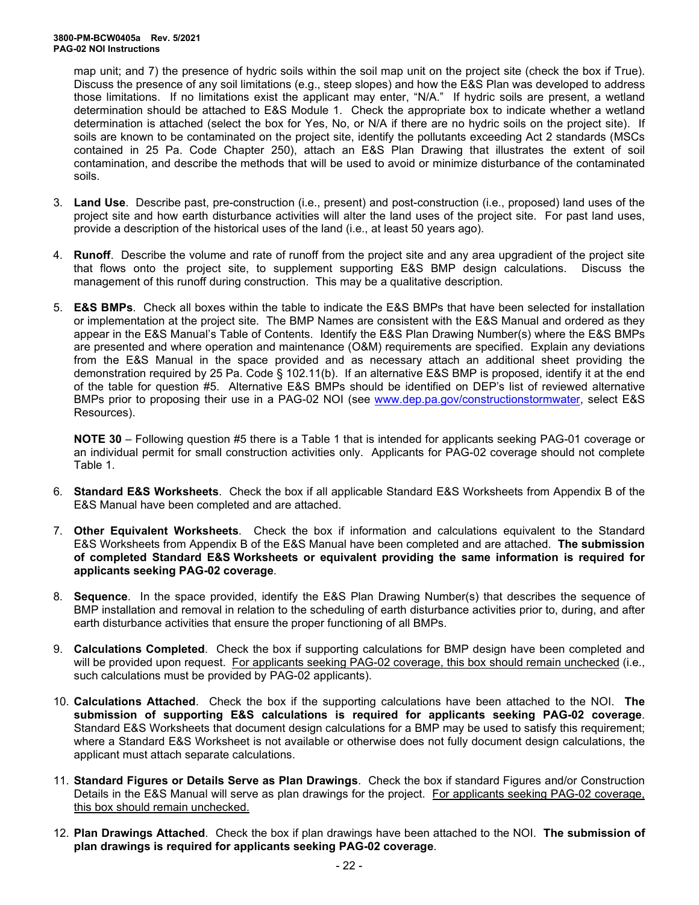map unit; and 7) the presence of hydric soils within the soil map unit on the project site (check the box if True). Discuss the presence of any soil limitations (e.g., steep slopes) and how the E&S Plan was developed to address those limitations. If no limitations exist the applicant may enter, "N/A." If hydric soils are present, a wetland determination should be attached to E&S Module 1. Check the appropriate box to indicate whether a wetland determination is attached (select the box for Yes, No, or N/A if there are no hydric soils on the project site). If soils are known to be contaminated on the project site, identify the pollutants exceeding Act 2 standards (MSCs contained in 25 Pa. Code Chapter 250), attach an E&S Plan Drawing that illustrates the extent of soil contamination, and describe the methods that will be used to avoid or minimize disturbance of the contaminated soils.

- 3. **Land Use**. Describe past, pre-construction (i.e., present) and post-construction (i.e., proposed) land uses of the project site and how earth disturbance activities will alter the land uses of the project site. For past land uses, provide a description of the historical uses of the land (i.e., at least 50 years ago).
- 4. **Runoff**. Describe the volume and rate of runoff from the project site and any area upgradient of the project site that flows onto the project site, to supplement supporting E&S BMP design calculations. Discuss the management of this runoff during construction. This may be a qualitative description.
- 5. **E&S BMPs**. Check all boxes within the table to indicate the E&S BMPs that have been selected for installation or implementation at the project site. The BMP Names are consistent with the E&S Manual and ordered as they appear in the E&S Manual's Table of Contents. Identify the E&S Plan Drawing Number(s) where the E&S BMPs are presented and where operation and maintenance (O&M) requirements are specified. Explain any deviations from the E&S Manual in the space provided and as necessary attach an additional sheet providing the demonstration required by 25 Pa. Code § 102.11(b). If an alternative E&S BMP is proposed, identify it at the end of the table for question #5. Alternative E&S BMPs should be identified on DEP's list of reviewed alternative BMPs prior to proposing their use in a PAG-02 NOI (see [www.dep.pa.gov/constructionstormwater,](http://www.dep.pa.gov/constructionstormwater) select E&S Resources).

**NOTE 30** – Following question #5 there is a Table 1 that is intended for applicants seeking PAG-01 coverage or an individual permit for small construction activities only. Applicants for PAG-02 coverage should not complete Table 1.

- 6. **Standard E&S Worksheets**. Check the box if all applicable Standard E&S Worksheets from Appendix B of the E&S Manual have been completed and are attached.
- 7. **Other Equivalent Worksheets**. Check the box if information and calculations equivalent to the Standard E&S Worksheets from Appendix B of the E&S Manual have been completed and are attached. **The submission of completed Standard E&S Worksheets or equivalent providing the same information is required for applicants seeking PAG-02 coverage**.
- 8. **Sequence**. In the space provided, identify the E&S Plan Drawing Number(s) that describes the sequence of BMP installation and removal in relation to the scheduling of earth disturbance activities prior to, during, and after earth disturbance activities that ensure the proper functioning of all BMPs.
- 9. **Calculations Completed**. Check the box if supporting calculations for BMP design have been completed and will be provided upon request. For applicants seeking PAG-02 coverage, this box should remain unchecked (i.e., such calculations must be provided by PAG-02 applicants).
- 10. **Calculations Attached**. Check the box if the supporting calculations have been attached to the NOI. **The submission of supporting E&S calculations is required for applicants seeking PAG-02 coverage**. Standard E&S Worksheets that document design calculations for a BMP may be used to satisfy this requirement; where a Standard E&S Worksheet is not available or otherwise does not fully document design calculations, the applicant must attach separate calculations.
- 11. **Standard Figures or Details Serve as Plan Drawings**. Check the box if standard Figures and/or Construction Details in the E&S Manual will serve as plan drawings for the project. For applicants seeking PAG-02 coverage, this box should remain unchecked.
- 12. **Plan Drawings Attached**. Check the box if plan drawings have been attached to the NOI. **The submission of plan drawings is required for applicants seeking PAG-02 coverage**.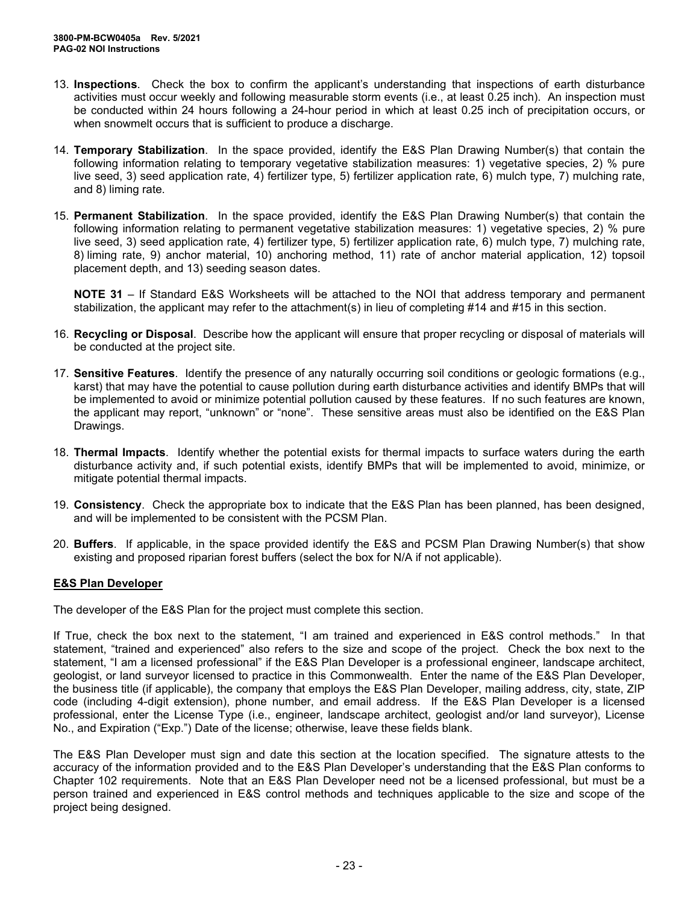- 13. **Inspections**. Check the box to confirm the applicant's understanding that inspections of earth disturbance activities must occur weekly and following measurable storm events (i.e., at least 0.25 inch). An inspection must be conducted within 24 hours following a 24-hour period in which at least 0.25 inch of precipitation occurs, or when snowmelt occurs that is sufficient to produce a discharge.
- 14. **Temporary Stabilization**. In the space provided, identify the E&S Plan Drawing Number(s) that contain the following information relating to temporary vegetative stabilization measures: 1) vegetative species, 2) % pure live seed, 3) seed application rate, 4) fertilizer type, 5) fertilizer application rate, 6) mulch type, 7) mulching rate, and 8) liming rate.
- 15. **Permanent Stabilization**. In the space provided, identify the E&S Plan Drawing Number(s) that contain the following information relating to permanent vegetative stabilization measures: 1) vegetative species, 2) % pure live seed, 3) seed application rate, 4) fertilizer type, 5) fertilizer application rate, 6) mulch type, 7) mulching rate, 8) liming rate, 9) anchor material, 10) anchoring method, 11) rate of anchor material application, 12) topsoil placement depth, and 13) seeding season dates.

**NOTE 31** – If Standard E&S Worksheets will be attached to the NOI that address temporary and permanent stabilization, the applicant may refer to the attachment(s) in lieu of completing #14 and #15 in this section.

- 16. **Recycling or Disposal**. Describe how the applicant will ensure that proper recycling or disposal of materials will be conducted at the project site.
- 17. **Sensitive Features**. Identify the presence of any naturally occurring soil conditions or geologic formations (e.g., karst) that may have the potential to cause pollution during earth disturbance activities and identify BMPs that will be implemented to avoid or minimize potential pollution caused by these features. If no such features are known, the applicant may report, "unknown" or "none". These sensitive areas must also be identified on the E&S Plan Drawings.
- 18. **Thermal Impacts**. Identify whether the potential exists for thermal impacts to surface waters during the earth disturbance activity and, if such potential exists, identify BMPs that will be implemented to avoid, minimize, or mitigate potential thermal impacts.
- 19. **Consistency**. Check the appropriate box to indicate that the E&S Plan has been planned, has been designed, and will be implemented to be consistent with the PCSM Plan.
- 20. **Buffers**. If applicable, in the space provided identify the E&S and PCSM Plan Drawing Number(s) that show existing and proposed riparian forest buffers (select the box for N/A if not applicable).

## **E&S Plan Developer**

The developer of the E&S Plan for the project must complete this section.

If True, check the box next to the statement, "I am trained and experienced in E&S control methods." In that statement, "trained and experienced" also refers to the size and scope of the project. Check the box next to the statement, "I am a licensed professional" if the E&S Plan Developer is a professional engineer, landscape architect, geologist, or land surveyor licensed to practice in this Commonwealth. Enter the name of the E&S Plan Developer, the business title (if applicable), the company that employs the E&S Plan Developer, mailing address, city, state, ZIP code (including 4-digit extension), phone number, and email address. If the E&S Plan Developer is a licensed professional, enter the License Type (i.e., engineer, landscape architect, geologist and/or land surveyor), License No., and Expiration ("Exp.") Date of the license; otherwise, leave these fields blank.

The E&S Plan Developer must sign and date this section at the location specified. The signature attests to the accuracy of the information provided and to the E&S Plan Developer's understanding that the E&S Plan conforms to Chapter 102 requirements. Note that an E&S Plan Developer need not be a licensed professional, but must be a person trained and experienced in E&S control methods and techniques applicable to the size and scope of the project being designed.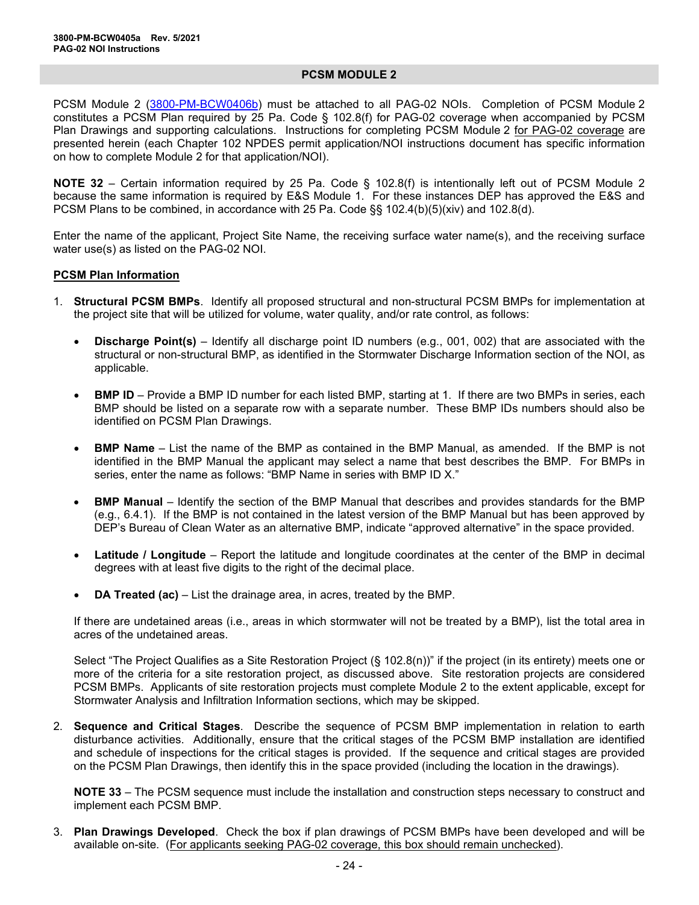#### **PCSM MODULE 2**

PCSM Module 2 [\(3800-PM-BCW0406b\)](http://www.depgreenport.state.pa.us/elibrary/GetFolder?FolderID=90984) must be attached to all PAG-02 NOIs. Completion of PCSM Module 2 constitutes a PCSM Plan required by 25 Pa. Code § 102.8(f) for PAG-02 coverage when accompanied by PCSM Plan Drawings and supporting calculations. Instructions for completing PCSM Module 2 for PAG-02 coverage are presented herein (each Chapter 102 NPDES permit application/NOI instructions document has specific information on how to complete Module 2 for that application/NOI).

**NOTE 32** – Certain information required by 25 Pa. Code § 102.8(f) is intentionally left out of PCSM Module 2 because the same information is required by E&S Module 1. For these instances DEP has approved the E&S and PCSM Plans to be combined, in accordance with 25 Pa. Code §§ 102.4(b)(5)(xiv) and 102.8(d).

Enter the name of the applicant, Project Site Name, the receiving surface water name(s), and the receiving surface water use(s) as listed on the PAG-02 NOI.

#### **PCSM Plan Information**

- 1. **Structural PCSM BMPs**. Identify all proposed structural and non-structural PCSM BMPs for implementation at the project site that will be utilized for volume, water quality, and/or rate control, as follows:
	- **Discharge Point(s)** Identify all discharge point ID numbers (e.g., 001, 002) that are associated with the structural or non-structural BMP, as identified in the Stormwater Discharge Information section of the NOI, as applicable.
	- **BMP ID** Provide a BMP ID number for each listed BMP, starting at 1. If there are two BMPs in series, each BMP should be listed on a separate row with a separate number. These BMP IDs numbers should also be identified on PCSM Plan Drawings.
	- **BMP Name** List the name of the BMP as contained in the BMP Manual, as amended. If the BMP is not identified in the BMP Manual the applicant may select a name that best describes the BMP. For BMPs in series, enter the name as follows: "BMP Name in series with BMP ID X."
	- **BMP Manual** Identify the section of the BMP Manual that describes and provides standards for the BMP (e.g., 6.4.1). If the BMP is not contained in the latest version of the BMP Manual but has been approved by DEP's Bureau of Clean Water as an alternative BMP, indicate "approved alternative" in the space provided.
	- **Latitude / Longitude** Report the latitude and longitude coordinates at the center of the BMP in decimal degrees with at least five digits to the right of the decimal place.
	- **DA Treated (ac)** List the drainage area, in acres, treated by the BMP.

If there are undetained areas (i.e., areas in which stormwater will not be treated by a BMP), list the total area in acres of the undetained areas.

Select "The Project Qualifies as a Site Restoration Project (§ 102.8(n))" if the project (in its entirety) meets one or more of the criteria for a site restoration project, as discussed above. Site restoration projects are considered PCSM BMPs. Applicants of site restoration projects must complete Module 2 to the extent applicable, except for Stormwater Analysis and Infiltration Information sections, which may be skipped.

2. **Sequence and Critical Stages**. Describe the sequence of PCSM BMP implementation in relation to earth disturbance activities. Additionally, ensure that the critical stages of the PCSM BMP installation are identified and schedule of inspections for the critical stages is provided. If the sequence and critical stages are provided on the PCSM Plan Drawings, then identify this in the space provided (including the location in the drawings).

**NOTE 33** – The PCSM sequence must include the installation and construction steps necessary to construct and implement each PCSM BMP.

3. **Plan Drawings Developed**. Check the box if plan drawings of PCSM BMPs have been developed and will be available on-site. (For applicants seeking PAG-02 coverage, this box should remain unchecked).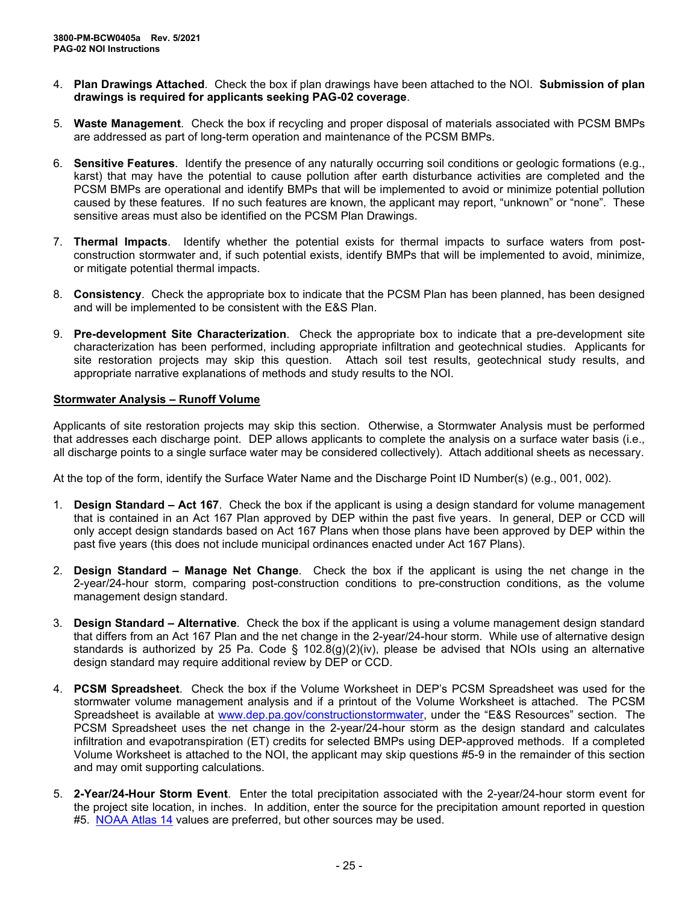- 4. **Plan Drawings Attached**. Check the box if plan drawings have been attached to the NOI. **Submission of plan drawings is required for applicants seeking PAG-02 coverage**.
- 5. **Waste Management**. Check the box if recycling and proper disposal of materials associated with PCSM BMPs are addressed as part of long-term operation and maintenance of the PCSM BMPs.
- 6. **Sensitive Features**. Identify the presence of any naturally occurring soil conditions or geologic formations (e.g., karst) that may have the potential to cause pollution after earth disturbance activities are completed and the PCSM BMPs are operational and identify BMPs that will be implemented to avoid or minimize potential pollution caused by these features. If no such features are known, the applicant may report, "unknown" or "none". These sensitive areas must also be identified on the PCSM Plan Drawings.
- 7. **Thermal Impacts**. Identify whether the potential exists for thermal impacts to surface waters from postconstruction stormwater and, if such potential exists, identify BMPs that will be implemented to avoid, minimize, or mitigate potential thermal impacts.
- 8. **Consistency**. Check the appropriate box to indicate that the PCSM Plan has been planned, has been designed and will be implemented to be consistent with the E&S Plan.
- 9. **Pre-development Site Characterization**. Check the appropriate box to indicate that a pre-development site characterization has been performed, including appropriate infiltration and geotechnical studies. Applicants for site restoration projects may skip this question. Attach soil test results, geotechnical study results, and appropriate narrative explanations of methods and study results to the NOI.

## **Stormwater Analysis – Runoff Volume**

Applicants of site restoration projects may skip this section. Otherwise, a Stormwater Analysis must be performed that addresses each discharge point. DEP allows applicants to complete the analysis on a surface water basis (i.e., all discharge points to a single surface water may be considered collectively). Attach additional sheets as necessary.

At the top of the form, identify the Surface Water Name and the Discharge Point ID Number(s) (e.g., 001, 002).

- 1. **Design Standard – Act 167**. Check the box if the applicant is using a design standard for volume management that is contained in an Act 167 Plan approved by DEP within the past five years. In general, DEP or CCD will only accept design standards based on Act 167 Plans when those plans have been approved by DEP within the past five years (this does not include municipal ordinances enacted under Act 167 Plans).
- 2. **Design Standard – Manage Net Change**. Check the box if the applicant is using the net change in the 2-year/24-hour storm, comparing post-construction conditions to pre-construction conditions, as the volume management design standard.
- 3. **Design Standard – Alternative**. Check the box if the applicant is using a volume management design standard that differs from an Act 167 Plan and the net change in the 2-year/24-hour storm. While use of alternative design standards is authorized by 25 Pa. Code § 102.8(g)(2)(iv), please be advised that NOIs using an alternative design standard may require additional review by DEP or CCD.
- 4. **PCSM Spreadsheet**. Check the box if the Volume Worksheet in DEP's PCSM Spreadsheet was used for the stormwater volume management analysis and if a printout of the Volume Worksheet is attached. The PCSM Spreadsheet is available at [www.dep.pa.gov/constructionstormwater,](http://www.dep.pa.gov/constructionstormwater) under the "E&S Resources" section. The PCSM Spreadsheet uses the net change in the 2-year/24-hour storm as the design standard and calculates infiltration and evapotranspiration (ET) credits for selected BMPs using DEP-approved methods. If a completed Volume Worksheet is attached to the NOI, the applicant may skip questions #5-9 in the remainder of this section and may omit supporting calculations.
- 5. **2-Year/24-Hour Storm Event**. Enter the total precipitation associated with the 2-year/24-hour storm event for the project site location, in inches. In addition, enter the source for the precipitation amount reported in question #5. NOAA [Atlas 14](https://hdsc.nws.noaa.gov/hdsc/pfds/pfds_map_cont.html) values are preferred, but other sources may be used.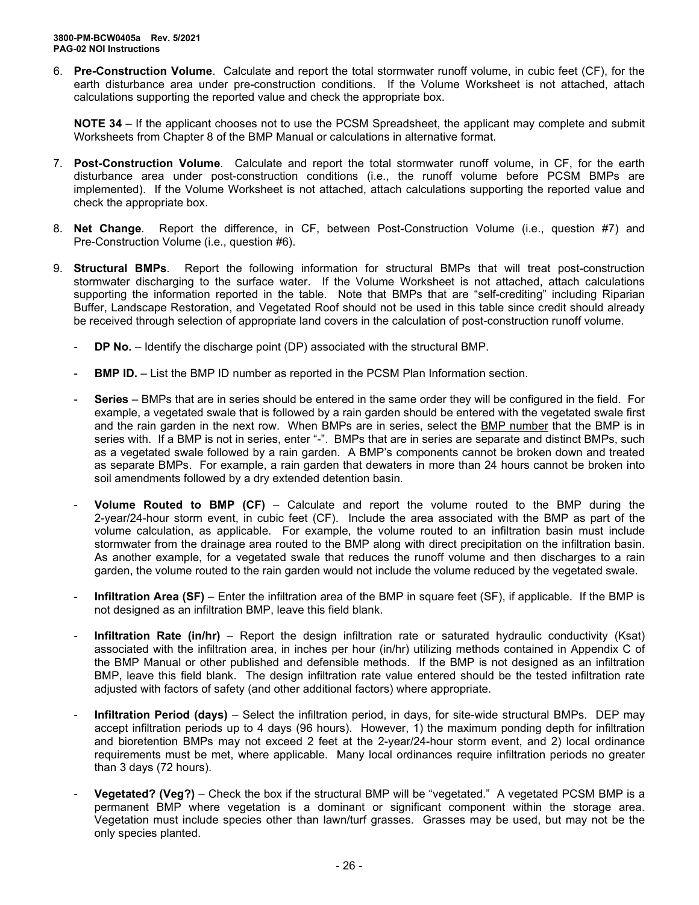6. **Pre-Construction Volume**. Calculate and report the total stormwater runoff volume, in cubic feet (CF), for the earth disturbance area under pre-construction conditions. If the Volume Worksheet is not attached, attach calculations supporting the reported value and check the appropriate box.

**NOTE 34** – If the applicant chooses not to use the PCSM Spreadsheet, the applicant may complete and submit Worksheets from Chapter 8 of the BMP Manual or calculations in alternative format.

- 7. **Post-Construction Volume**. Calculate and report the total stormwater runoff volume, in CF, for the earth disturbance area under post-construction conditions (i.e., the runoff volume before PCSM BMPs are implemented). If the Volume Worksheet is not attached, attach calculations supporting the reported value and check the appropriate box.
- 8. **Net Change**. Report the difference, in CF, between Post-Construction Volume (i.e., question #7) and Pre-Construction Volume (i.e., question #6).
- 9. **Structural BMPs**. Report the following information for structural BMPs that will treat post-construction stormwater discharging to the surface water. If the Volume Worksheet is not attached, attach calculations supporting the information reported in the table. Note that BMPs that are "self-crediting" including Riparian Buffer, Landscape Restoration, and Vegetated Roof should not be used in this table since credit should already be received through selection of appropriate land covers in the calculation of post-construction runoff volume.
	- **DP No.** Identify the discharge point (DP) associated with the structural BMP.
	- **BMP ID.** List the BMP ID number as reported in the PCSM Plan Information section.
	- **Series** BMPs that are in series should be entered in the same order they will be configured in the field. For example, a vegetated swale that is followed by a rain garden should be entered with the vegetated swale first and the rain garden in the next row. When BMPs are in series, select the BMP number that the BMP is in series with. If a BMP is not in series, enter "-". BMPs that are in series are separate and distinct BMPs, such as a vegetated swale followed by a rain garden. A BMP's components cannot be broken down and treated as separate BMPs. For example, a rain garden that dewaters in more than 24 hours cannot be broken into soil amendments followed by a dry extended detention basin.
	- **Volume Routed to BMP (CF)** Calculate and report the volume routed to the BMP during the 2-year/24-hour storm event, in cubic feet (CF).Include the area associated with the BMP as part of the volume calculation, as applicable. For example, the volume routed to an infiltration basin must include stormwater from the drainage area routed to the BMP along with direct precipitation on the infiltration basin. As another example, for a vegetated swale that reduces the runoff volume and then discharges to a rain garden, the volume routed to the rain garden would not include the volume reduced by the vegetated swale.
	- **Infiltration Area (SF)** Enter the infiltration area of the BMP in square feet (SF), if applicable. If the BMP is not designed as an infiltration BMP, leave this field blank.
	- **Infiltration Rate (in/hr)** Report the design infiltration rate or saturated hydraulic conductivity (Ksat) associated with the infiltration area, in inches per hour (in/hr) utilizing methods contained in Appendix C of the BMP Manual or other published and defensible methods. If the BMP is not designed as an infiltration BMP, leave this field blank. The design infiltration rate value entered should be the tested infiltration rate adjusted with factors of safety (and other additional factors) where appropriate.
	- **Infiltration Period (days)** Select the infiltration period, in days, for site-wide structural BMPs. DEP may accept infiltration periods up to 4 days (96 hours). However, 1) the maximum ponding depth for infiltration and bioretention BMPs may not exceed 2 feet at the 2-year/24-hour storm event, and 2) local ordinance requirements must be met, where applicable. Many local ordinances require infiltration periods no greater than 3 days (72 hours).
	- **Vegetated? (Veg?)** Check the box if the structural BMP will be "vegetated." A vegetated PCSM BMP is a permanent BMP where vegetation is a dominant or significant component within the storage area. Vegetation must include species other than lawn/turf grasses. Grasses may be used, but may not be the only species planted.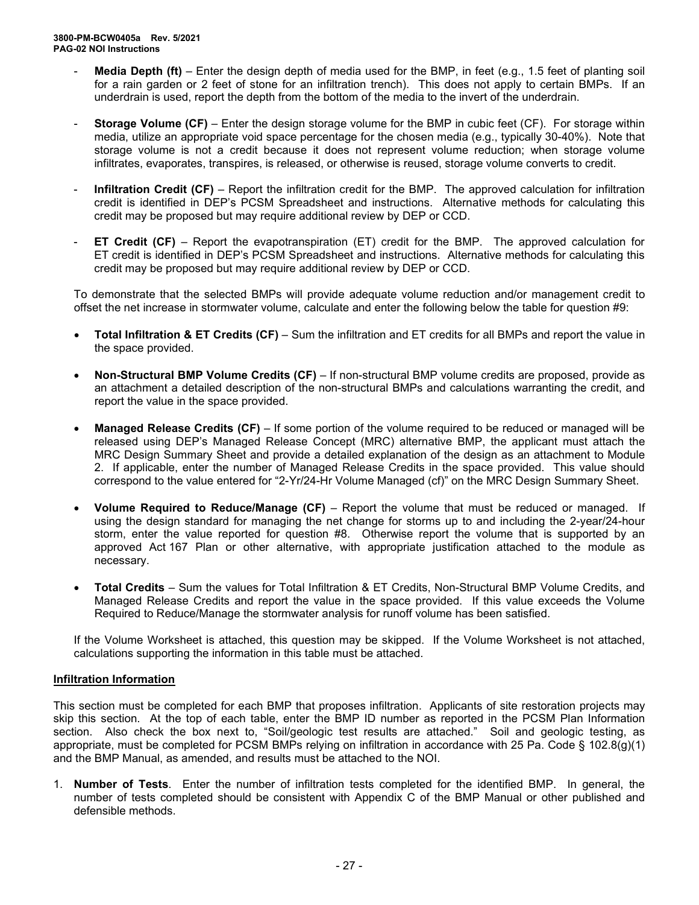- **Media Depth (ft)** Enter the design depth of media used for the BMP, in feet (e.g., 1.5 feet of planting soil for a rain garden or 2 feet of stone for an infiltration trench). This does not apply to certain BMPs. If an underdrain is used, report the depth from the bottom of the media to the invert of the underdrain.
- **Storage Volume (CF)** Enter the design storage volume for the BMP in cubic feet (CF). For storage within media, utilize an appropriate void space percentage for the chosen media (e.g., typically 30-40%). Note that storage volume is not a credit because it does not represent volume reduction; when storage volume infiltrates, evaporates, transpires, is released, or otherwise is reused, storage volume converts to credit.
- **Infiltration Credit (CF)** Report the infiltration credit for the BMP. The approved calculation for infiltration credit is identified in DEP's PCSM Spreadsheet and instructions. Alternative methods for calculating this credit may be proposed but may require additional review by DEP or CCD.
- **ET Credit (CF)** Report the evapotranspiration (ET) credit for the BMP. The approved calculation for ET credit is identified in DEP's PCSM Spreadsheet and instructions. Alternative methods for calculating this credit may be proposed but may require additional review by DEP or CCD.

To demonstrate that the selected BMPs will provide adequate volume reduction and/or management credit to offset the net increase in stormwater volume, calculate and enter the following below the table for question #9:

- **Total Infiltration & ET Credits (CF)** Sum the infiltration and ET credits for all BMPs and report the value in the space provided.
- **Non-Structural BMP Volume Credits (CF)** If non-structural BMP volume credits are proposed, provide as an attachment a detailed description of the non-structural BMPs and calculations warranting the credit, and report the value in the space provided.
- **Managed Release Credits (CF)** If some portion of the volume required to be reduced or managed will be released using DEP's Managed Release Concept (MRC) alternative BMP, the applicant must attach the MRC Design Summary Sheet and provide a detailed explanation of the design as an attachment to Module 2. If applicable, enter the number of Managed Release Credits in the space provided. This value should correspond to the value entered for "2-Yr/24-Hr Volume Managed (cf)" on the MRC Design Summary Sheet.
- **Volume Required to Reduce/Manage (CF)** Report the volume that must be reduced or managed. If using the design standard for managing the net change for storms up to and including the 2-year/24-hour storm, enter the value reported for question #8. Otherwise report the volume that is supported by an approved Act 167 Plan or other alternative, with appropriate justification attached to the module as necessary.
- **Total Credits** Sum the values for Total Infiltration & ET Credits, Non-Structural BMP Volume Credits, and Managed Release Credits and report the value in the space provided. If this value exceeds the Volume Required to Reduce/Manage the stormwater analysis for runoff volume has been satisfied.

If the Volume Worksheet is attached, this question may be skipped. If the Volume Worksheet is not attached, calculations supporting the information in this table must be attached.

## **Infiltration Information**

This section must be completed for each BMP that proposes infiltration. Applicants of site restoration projects may skip this section. At the top of each table, enter the BMP ID number as reported in the PCSM Plan Information section. Also check the box next to, "Soil/geologic test results are attached." Soil and geologic testing, as appropriate, must be completed for PCSM BMPs relying on infiltration in accordance with 25 Pa. Code § 102.8(g)(1) and the BMP Manual, as amended, and results must be attached to the NOI.

1. **Number of Tests**. Enter the number of infiltration tests completed for the identified BMP. In general, the number of tests completed should be consistent with Appendix C of the BMP Manual or other published and defensible methods.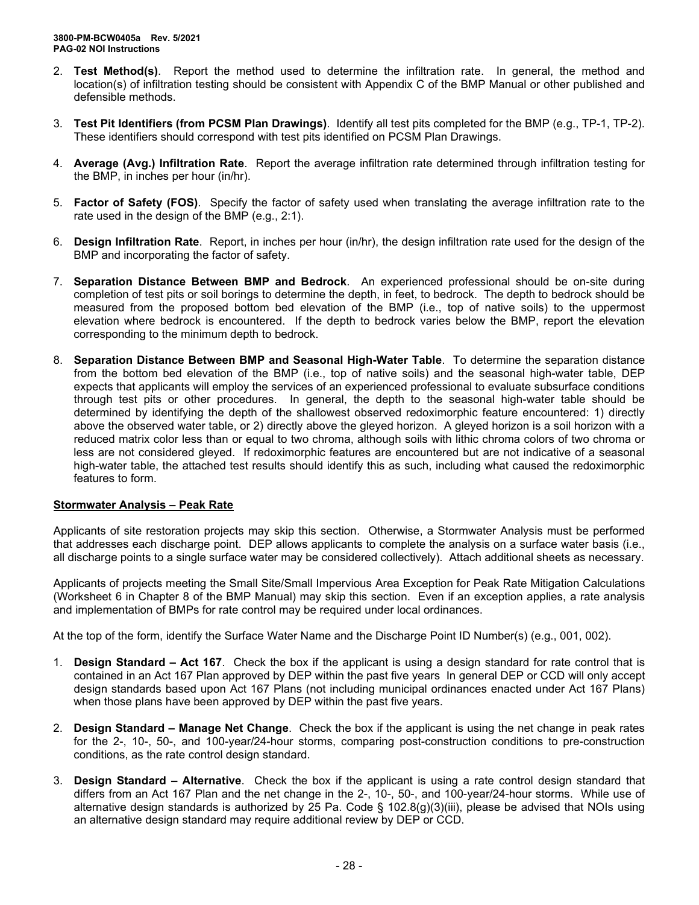- 2. **Test Method(s)**. Report the method used to determine the infiltration rate. In general, the method and location(s) of infiltration testing should be consistent with Appendix C of the BMP Manual or other published and defensible methods.
- 3. **Test Pit Identifiers (from PCSM Plan Drawings)**. Identify all test pits completed for the BMP (e.g., TP-1, TP-2). These identifiers should correspond with test pits identified on PCSM Plan Drawings.
- 4. **Average (Avg.) Infiltration Rate**. Report the average infiltration rate determined through infiltration testing for the BMP, in inches per hour (in/hr).
- 5. **Factor of Safety (FOS)**. Specify the factor of safety used when translating the average infiltration rate to the rate used in the design of the BMP (e.g., 2:1).
- 6. **Design Infiltration Rate**. Report, in inches per hour (in/hr), the design infiltration rate used for the design of the BMP and incorporating the factor of safety.
- 7. **Separation Distance Between BMP and Bedrock**. An experienced professional should be on-site during completion of test pits or soil borings to determine the depth, in feet, to bedrock. The depth to bedrock should be measured from the proposed bottom bed elevation of the BMP (i.e., top of native soils) to the uppermost elevation where bedrock is encountered. If the depth to bedrock varies below the BMP, report the elevation corresponding to the minimum depth to bedrock.
- 8. **Separation Distance Between BMP and Seasonal High-Water Table**. To determine the separation distance from the bottom bed elevation of the BMP (i.e., top of native soils) and the seasonal high-water table, DEP expects that applicants will employ the services of an experienced professional to evaluate subsurface conditions through test pits or other procedures. In general, the depth to the seasonal high-water table should be determined by identifying the depth of the shallowest observed redoximorphic feature encountered: 1) directly above the observed water table, or 2) directly above the gleyed horizon. A gleyed horizon is a soil horizon with a reduced matrix color less than or equal to two chroma, although soils with lithic chroma colors of two chroma or less are not considered gleyed. If redoximorphic features are encountered but are not indicative of a seasonal high-water table, the attached test results should identify this as such, including what caused the redoximorphic features to form.

#### **Stormwater Analysis – Peak Rate**

Applicants of site restoration projects may skip this section. Otherwise, a Stormwater Analysis must be performed that addresses each discharge point. DEP allows applicants to complete the analysis on a surface water basis (i.e., all discharge points to a single surface water may be considered collectively). Attach additional sheets as necessary.

Applicants of projects meeting the Small Site/Small Impervious Area Exception for Peak Rate Mitigation Calculations (Worksheet 6 in Chapter 8 of the BMP Manual) may skip this section. Even if an exception applies, a rate analysis and implementation of BMPs for rate control may be required under local ordinances.

At the top of the form, identify the Surface Water Name and the Discharge Point ID Number(s) (e.g., 001, 002).

- 1. **Design Standard – Act 167**. Check the box if the applicant is using a design standard for rate control that is contained in an Act 167 Plan approved by DEP within the past five years In general DEP or CCD will only accept design standards based upon Act 167 Plans (not including municipal ordinances enacted under Act 167 Plans) when those plans have been approved by DEP within the past five years.
- 2. **Design Standard – Manage Net Change**. Check the box if the applicant is using the net change in peak rates for the 2-, 10-, 50-, and 100-year/24-hour storms, comparing post-construction conditions to pre-construction conditions, as the rate control design standard.
- 3. **Design Standard – Alternative**. Check the box if the applicant is using a rate control design standard that differs from an Act 167 Plan and the net change in the 2-, 10-, 50-, and 100-year/24-hour storms. While use of alternative design standards is authorized by 25 Pa. Code § 102.8(g)(3)(iii), please be advised that NOIs using an alternative design standard may require additional review by DEP or CCD.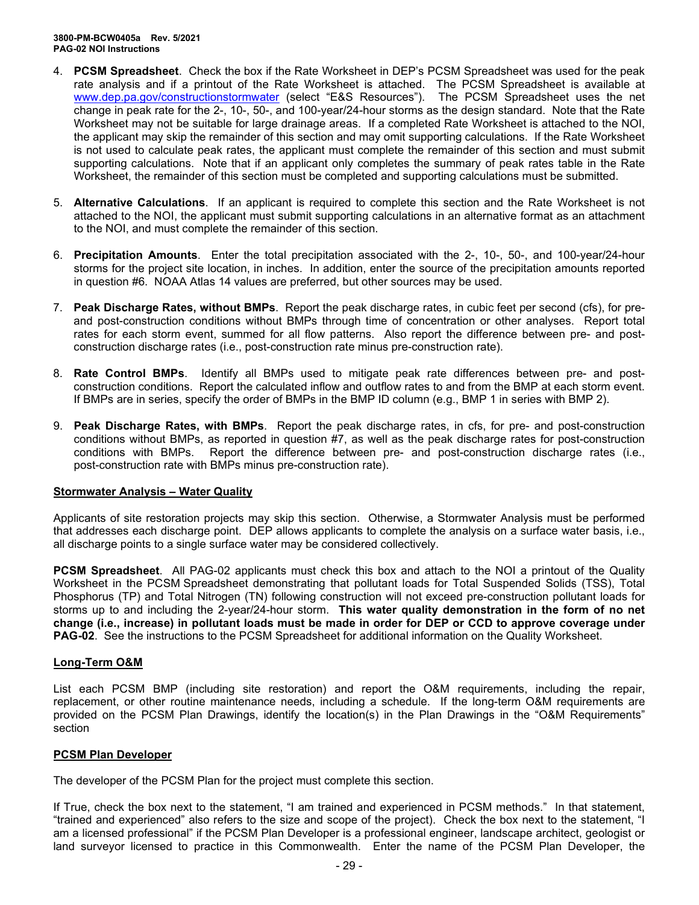- 4. **PCSM Spreadsheet**. Check the box if the Rate Worksheet in DEP's PCSM Spreadsheet was used for the peak rate analysis and if a printout of the Rate Worksheet is attached. The PCSM Spreadsheet is available at <u>[www.dep.pa.gov/constructionstormwater](http://www.dep.pa.gov/constructionstormwater)</u> (select "E&S Resources"). The PCSM Spreadsheet uses the net change in peak rate for the 2-, 10-, 50-, and 100-year/24-hour storms as the design standard. Note that the Rate Worksheet may not be suitable for large drainage areas. If a completed Rate Worksheet is attached to the NOI, the applicant may skip the remainder of this section and may omit supporting calculations. If the Rate Worksheet is not used to calculate peak rates, the applicant must complete the remainder of this section and must submit supporting calculations. Note that if an applicant only completes the summary of peak rates table in the Rate Worksheet, the remainder of this section must be completed and supporting calculations must be submitted.
- 5. **Alternative Calculations**. If an applicant is required to complete this section and the Rate Worksheet is not attached to the NOI, the applicant must submit supporting calculations in an alternative format as an attachment to the NOI, and must complete the remainder of this section.
- 6. **Precipitation Amounts**. Enter the total precipitation associated with the 2-, 10-, 50-, and 100-year/24-hour storms for the project site location, in inches. In addition, enter the source of the precipitation amounts reported in question #6. NOAA Atlas 14 values are preferred, but other sources may be used.
- 7. **Peak Discharge Rates, without BMPs**. Report the peak discharge rates, in cubic feet per second (cfs), for preand post-construction conditions without BMPs through time of concentration or other analyses. Report total rates for each storm event, summed for all flow patterns. Also report the difference between pre- and postconstruction discharge rates (i.e., post-construction rate minus pre-construction rate).
- 8. **Rate Control BMPs**. Identify all BMPs used to mitigate peak rate differences between pre- and postconstruction conditions. Report the calculated inflow and outflow rates to and from the BMP at each storm event. If BMPs are in series, specify the order of BMPs in the BMP ID column (e.g., BMP 1 in series with BMP 2).
- 9. **Peak Discharge Rates, with BMPs**. Report the peak discharge rates, in cfs, for pre- and post-construction conditions without BMPs, as reported in question #7, as well as the peak discharge rates for post-construction conditions with BMPs. Report the difference between pre- and post-construction discharge rates (i.e., post-construction rate with BMPs minus pre-construction rate).

#### **Stormwater Analysis – Water Quality**

Applicants of site restoration projects may skip this section. Otherwise, a Stormwater Analysis must be performed that addresses each discharge point. DEP allows applicants to complete the analysis on a surface water basis, i.e., all discharge points to a single surface water may be considered collectively.

**PCSM Spreadsheet**. All PAG-02 applicants must check this box and attach to the NOI a printout of the Quality Worksheet in the PCSM Spreadsheet demonstrating that pollutant loads for Total Suspended Solids (TSS), Total Phosphorus (TP) and Total Nitrogen (TN) following construction will not exceed pre-construction pollutant loads for storms up to and including the 2-year/24-hour storm. **This water quality demonstration in the form of no net change (i.e., increase) in pollutant loads must be made in order for DEP or CCD to approve coverage under PAG-02**. See the instructions to the PCSM Spreadsheet for additional information on the Quality Worksheet.

#### **Long-Term O&M**

List each PCSM BMP (including site restoration) and report the O&M requirements, including the repair, replacement, or other routine maintenance needs, including a schedule. If the long-term O&M requirements are provided on the PCSM Plan Drawings, identify the location(s) in the Plan Drawings in the "O&M Requirements" section

#### **PCSM Plan Developer**

The developer of the PCSM Plan for the project must complete this section.

If True, check the box next to the statement, "I am trained and experienced in PCSM methods." In that statement, "trained and experienced" also refers to the size and scope of the project). Check the box next to the statement, "I am a licensed professional" if the PCSM Plan Developer is a professional engineer, landscape architect, geologist or land surveyor licensed to practice in this Commonwealth. Enter the name of the PCSM Plan Developer, the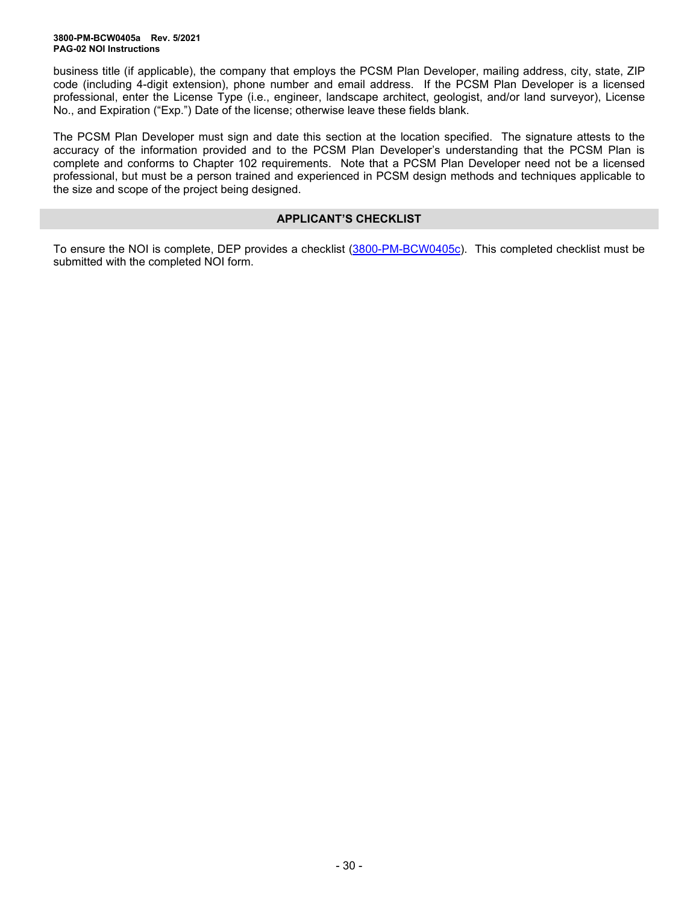business title (if applicable), the company that employs the PCSM Plan Developer, mailing address, city, state, ZIP code (including 4-digit extension), phone number and email address. If the PCSM Plan Developer is a licensed professional, enter the License Type (i.e., engineer, landscape architect, geologist, and/or land surveyor), License No., and Expiration ("Exp.") Date of the license; otherwise leave these fields blank.

The PCSM Plan Developer must sign and date this section at the location specified. The signature attests to the accuracy of the information provided and to the PCSM Plan Developer's understanding that the PCSM Plan is complete and conforms to Chapter 102 requirements. Note that a PCSM Plan Developer need not be a licensed professional, but must be a person trained and experienced in PCSM design methods and techniques applicable to the size and scope of the project being designed.

### **APPLICANT'S CHECKLIST**

To ensure the NOI is complete, DEP provides a checklist [\(3800-PM-BCW0405c\)](http://www.depgreenport.state.pa.us/elibrary/GetFolder?FolderID=90982). This completed checklist must be submitted with the completed NOI form.